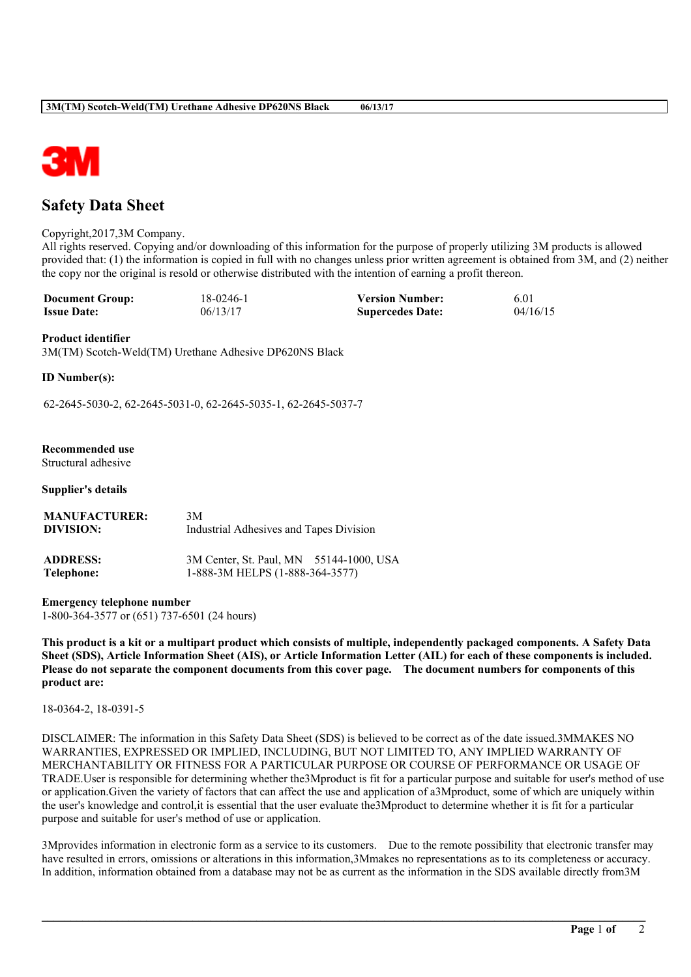

# **Safety Data Sheet**

Copyright,2017,3M Company.

All rights reserved. Copying and/or downloading of this information for the purpose of properly utilizing 3M products is allowed provided that: (1) the information is copied in full with no changes unless prior written agreement is obtained from 3M, and (2) neither the copy nor the original is resold or otherwise distributed with the intention of earning a profit thereon.

| <b>Document Group:</b> | 18-0246-1 | <b>Version Number:</b>  | -6.0     |
|------------------------|-----------|-------------------------|----------|
| <b>Issue Date:</b>     | 06/13/17  | <b>Supercedes Date:</b> | 04/16/15 |

### **Product identifier**

3M(TM) Scotch-Weld(TM) Urethane Adhesive DP620NS Black

**ID Number(s):**

62-2645-5030-2, 62-2645-5031-0, 62-2645-5035-1, 62-2645-5037-7

# **Recommended use**

Structural adhesive

### **Supplier's details**

| <b>MANUFACTURER:</b> | 3M                                      |
|----------------------|-----------------------------------------|
| DIVISION:            | Industrial Adhesives and Tapes Division |
| <b>ADDRESS:</b>      | 3M Center, St. Paul, MN 55144-1000, USA |
| Telephone:           | 1-888-3M HELPS (1-888-364-3577)         |

**Emergency telephone number** 1-800-364-3577 or (651) 737-6501 (24 hours)

This product is a kit or a multipart product which consists of multiple, independently packaged components. A Safety Data Sheet (SDS), Article Information Sheet (AIS), or Article Information Letter (AIL) for each of these components is included. Please do not separate the component documents from this cover page. The document numbers for components of this **product are:**

18-0364-2, 18-0391-5

DISCLAIMER: The information in this Safety Data Sheet (SDS) is believed to be correct as of the date issued.3MMAKES NO WARRANTIES, EXPRESSED OR IMPLIED, INCLUDING, BUT NOT LIMITED TO, ANY IMPLIED WARRANTY OF MERCHANTABILITY OR FITNESS FOR A PARTICULAR PURPOSE OR COURSE OF PERFORMANCE OR USAGE OF TRADE.User is responsible for determining whether the3Mproduct is fit for a particular purpose and suitable for user's method of use or application.Given the variety of factors that can affect the use and application of a3Mproduct, some of which are uniquely within the user's knowledge and control,it is essential that the user evaluate the3Mproduct to determine whether it is fit for a particular purpose and suitable for user's method of use or application.

3Mprovides information in electronic form as a service to its customers. Due to the remote possibility that electronic transfer may have resulted in errors, omissions or alterations in this information,3Mmakes no representations as to its completeness or accuracy. In addition, information obtained from a database may not be as current as the information in the SDS available directly from3M

**\_\_\_\_\_\_\_\_\_\_\_\_\_\_\_\_\_\_\_\_\_\_\_\_\_\_\_\_\_\_\_\_\_\_\_\_\_\_\_\_\_\_\_\_\_\_\_\_\_\_\_\_\_\_\_\_\_\_\_\_\_\_\_\_\_\_\_\_\_\_\_\_\_\_\_\_\_\_\_\_\_\_\_\_\_\_\_\_\_\_\_\_\_\_\_\_\_\_\_\_\_\_\_\_**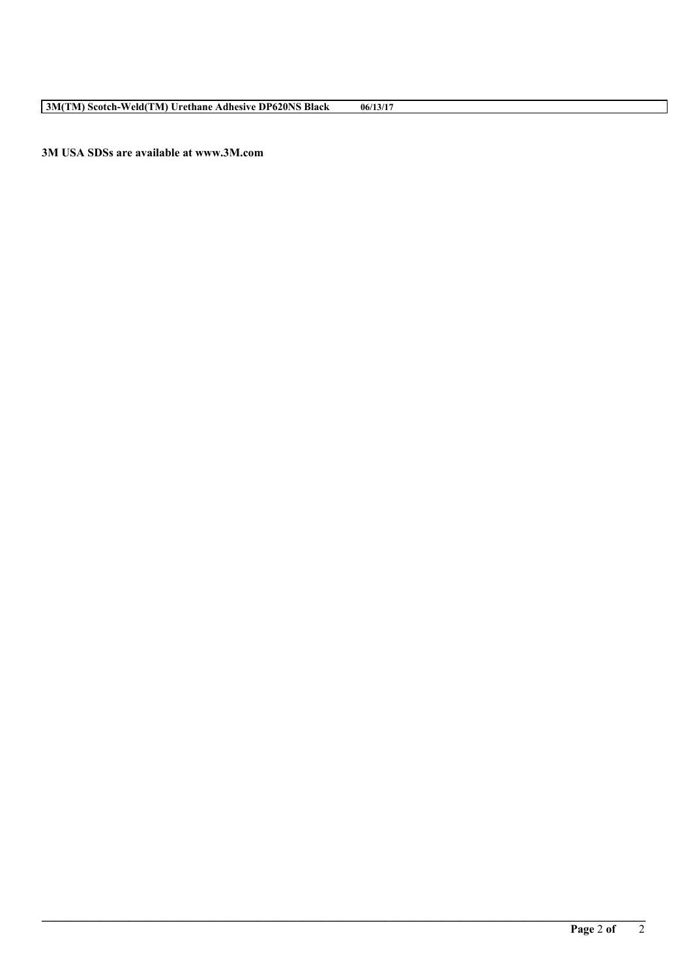**3M(TM) Scotch-Weld(TM) Urethane Adhesive DP620NS Black 06/13/17**

**3M USA SDSs are available at www.3M.com**

**\_\_\_\_\_\_\_\_\_\_\_\_\_\_\_\_\_\_\_\_\_\_\_\_\_\_\_\_\_\_\_\_\_\_\_\_\_\_\_\_\_\_\_\_\_\_\_\_\_\_\_\_\_\_\_\_\_\_\_\_\_\_\_\_\_\_\_\_\_\_\_\_\_\_\_\_\_\_\_\_\_\_\_\_\_\_\_\_\_\_\_\_\_\_\_\_\_\_\_\_\_\_\_\_**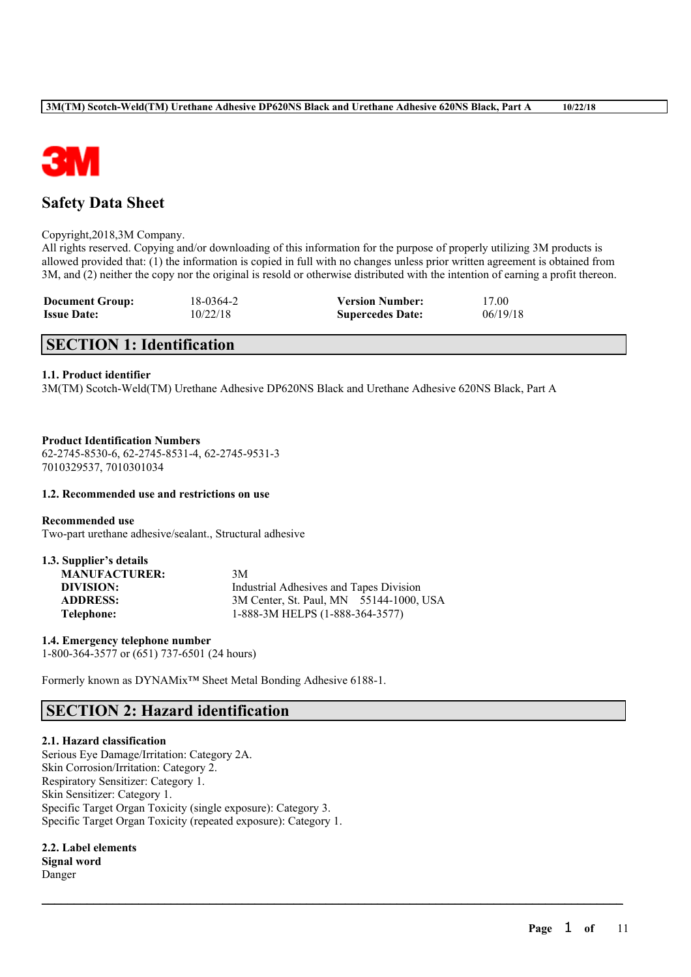

# **Safety Data Sheet**

### Copyright,2018,3M Company.

All rights reserved. Copying and/or downloading of this information for the purpose of properly utilizing 3M products is allowed provided that: (1) the information is copied in full with no changes unless prior written agreement is obtained from 3M, and (2) neither the copy nor the original is resold or otherwise distributed with the intention of earning a profit thereon.

 $\mathcal{L}_\mathcal{L} = \mathcal{L}_\mathcal{L} = \mathcal{L}_\mathcal{L} = \mathcal{L}_\mathcal{L} = \mathcal{L}_\mathcal{L} = \mathcal{L}_\mathcal{L} = \mathcal{L}_\mathcal{L} = \mathcal{L}_\mathcal{L} = \mathcal{L}_\mathcal{L} = \mathcal{L}_\mathcal{L} = \mathcal{L}_\mathcal{L} = \mathcal{L}_\mathcal{L} = \mathcal{L}_\mathcal{L} = \mathcal{L}_\mathcal{L} = \mathcal{L}_\mathcal{L} = \mathcal{L}_\mathcal{L} = \mathcal{L}_\mathcal{L}$ 

| <b>Document Group:</b> | 18-0364-2 | <b>Version Number:</b>  | 17.00    |
|------------------------|-----------|-------------------------|----------|
| <b>Issue Date:</b>     | 10/22/18  | <b>Supercedes Date:</b> | 06/19/18 |

# **SECTION 1: Identification**

### **1.1. Product identifier**

3M(TM) Scotch-Weld(TM) Urethane Adhesive DP620NS Black and Urethane Adhesive 620NS Black, Part A

### **Product Identification Numbers** 62-2745-8530-6, 62-2745-8531-4, 62-2745-9531-3 7010329537, 7010301034

### **1.2. Recommended use and restrictions on use**

**Recommended use** Two-part urethane adhesive/sealant., Structural adhesive

| 1.3. Supplier's details |                                         |
|-------------------------|-----------------------------------------|
| <b>MANUFACTURER:</b>    | 3M                                      |
| DIVISION:               | Industrial Adhesives and Tapes Division |
| <b>ADDRESS:</b>         | 3M Center, St. Paul, MN 55144-1000, USA |
| Telephone:              | 1-888-3M HELPS (1-888-364-3577)         |

**1.4. Emergency telephone number** 1-800-364-3577 or (651) 737-6501 (24 hours)

Formerly known as DYNAMix™ Sheet Metal Bonding Adhesive 6188-1.

# **SECTION 2: Hazard identification**

### **2.1. Hazard classification**

Serious Eye Damage/Irritation: Category 2A. Skin Corrosion/Irritation: Category 2. Respiratory Sensitizer: Category 1. Skin Sensitizer: Category 1. Specific Target Organ Toxicity (single exposure): Category 3. Specific Target Organ Toxicity (repeated exposure): Category 1.

**2.2. Label elements Signal word** Danger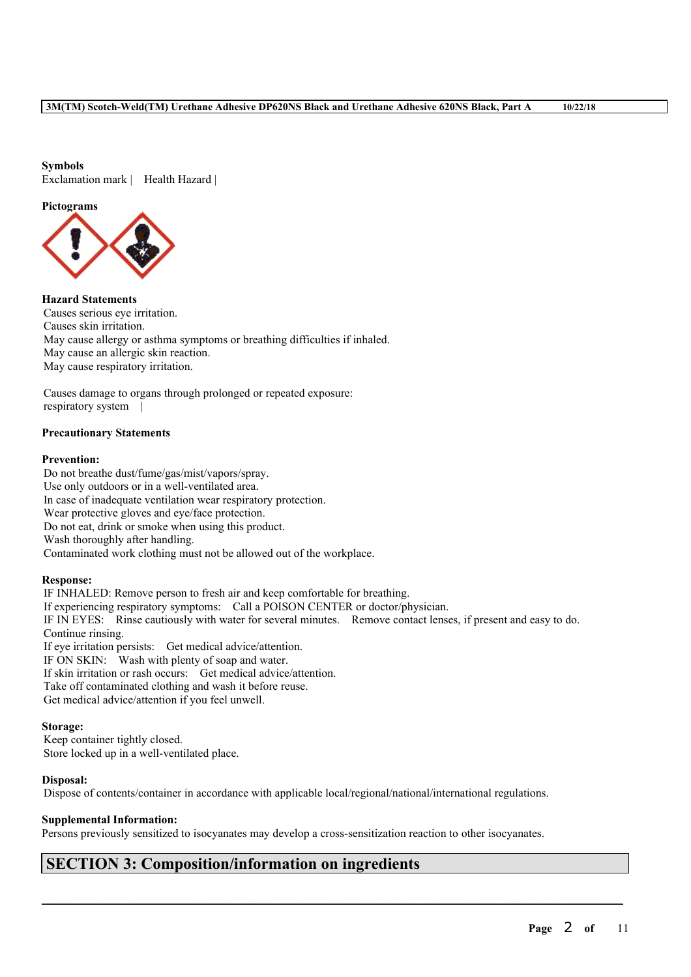### **Symbols** Exclamation mark | Health Hazard |

### **Pictograms**



**Hazard Statements** Causes serious eye irritation. Causes skin irritation. May cause allergy or asthma symptoms or breathing difficulties if inhaled. May cause an allergic skin reaction. May cause respiratory irritation.

Causes damage to organs through prolonged or repeated exposure: respiratory system |

### **Precautionary Statements**

### **Prevention:**

Do not breathe dust/fume/gas/mist/vapors/spray. Use only outdoors or in a well-ventilated area. In case of inadequate ventilation wear respiratory protection. Wear protective gloves and eye/face protection. Do not eat, drink or smoke when using this product. Wash thoroughly after handling. Contaminated work clothing must not be allowed out of the workplace.

### **Response:**

IF INHALED: Remove person to fresh air and keep comfortable for breathing. If experiencing respiratory symptoms: Call a POISON CENTER or doctor/physician. IF IN EYES: Rinse cautiously with water for several minutes. Remove contact lenses, if present and easy to do. Continue rinsing. If eye irritation persists: Get medical advice/attention. IF ON SKIN: Wash with plenty of soap and water. If skin irritation or rash occurs: Get medical advice/attention. Take off contaminated clothing and wash it before reuse. Get medical advice/attention if you feel unwell.

### **Storage:**

Keep container tightly closed. Store locked up in a well-ventilated place.

### **Disposal:**

Dispose of contents/container in accordance with applicable local/regional/national/international regulations.

### **Supplemental Information:**

Persons previously sensitized to isocyanates may develop a cross-sensitization reaction to other isocyanates.

 $\mathcal{L}_\mathcal{L} = \mathcal{L}_\mathcal{L} = \mathcal{L}_\mathcal{L} = \mathcal{L}_\mathcal{L} = \mathcal{L}_\mathcal{L} = \mathcal{L}_\mathcal{L} = \mathcal{L}_\mathcal{L} = \mathcal{L}_\mathcal{L} = \mathcal{L}_\mathcal{L} = \mathcal{L}_\mathcal{L} = \mathcal{L}_\mathcal{L} = \mathcal{L}_\mathcal{L} = \mathcal{L}_\mathcal{L} = \mathcal{L}_\mathcal{L} = \mathcal{L}_\mathcal{L} = \mathcal{L}_\mathcal{L} = \mathcal{L}_\mathcal{L}$ 

# **SECTION 3: Composition/information on ingredients**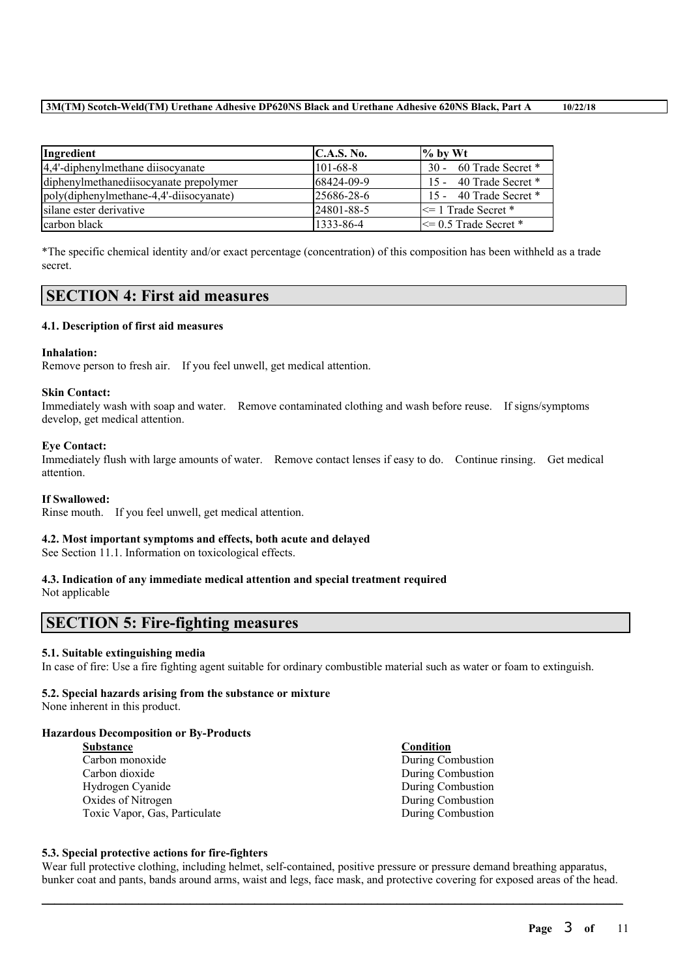| Ingredient                              | C.A.S. No.        | $\frac{9}{6}$ by Wt       |
|-----------------------------------------|-------------------|---------------------------|
| 4,4'-diphenylmethane diisocyanate       | $101-68-8$        | 30 - 60 Trade Secret *    |
| diphenylmethanediisocyanate prepolymer  | 68424-09-9        | 15 - 40 Trade Secret $*$  |
| poly(diphenylmethane-4,4'-diisocyanate) | $125686 - 28 - 6$ | 15 - 40 Trade Secret *    |
| silane ester derivative                 | 24801-88-5        | $\leq$ 1 Trade Secret *   |
| carbon black                            | 1333-86-4         | $\leq$ 0.5 Trade Secret * |

\*The specific chemical identity and/or exact percentage (concentration) of this composition has been withheld as a trade secret.

# **SECTION 4: First aid measures**

### **4.1. Description of first aid measures**

### **Inhalation:**

Remove person to fresh air. If you feel unwell, get medical attention.

### **Skin Contact:**

Immediately wash with soap and water. Remove contaminated clothing and wash before reuse. If signs/symptoms develop, get medical attention.

### **Eye Contact:**

Immediately flush with large amounts of water. Remove contact lenses if easy to do. Continue rinsing. Get medical attention.

### **If Swallowed:**

Rinse mouth. If you feel unwell, get medical attention.

### **4.2. Most important symptoms and effects, both acute and delayed**

See Section 11.1. Information on toxicological effects.

### **4.3. Indication of any immediate medical attention and special treatment required** Not applicable

# **SECTION 5: Fire-fighting measures**

### **5.1. Suitable extinguishing media**

In case of fire: Use a fire fighting agent suitable for ordinary combustible material such as water or foam to extinguish.

### **5.2. Special hazards arising from the substance or mixture**

None inherent in this product.

### **Hazardous Decomposition or By-Products**

| <b>Substance</b>              | Condition |
|-------------------------------|-----------|
| Carbon monoxide               | During Co |
| Carbon dioxide                | During Co |
| Hydrogen Cyanide              | During Co |
| Oxides of Nitrogen            | During Co |
| Toxic Vapor, Gas, Particulate | During Co |

**Puring Combustion Puring Combustion** Juring Combustion **Ouring Combustion Juring Combustion** 

### **5.3. Special protective actions for fire-fighters**

Wear full protective clothing, including helmet, self-contained, positive pressure or pressure demand breathing apparatus, bunker coat and pants, bands around arms, waist and legs, face mask, and protective covering for exposed areas of the head.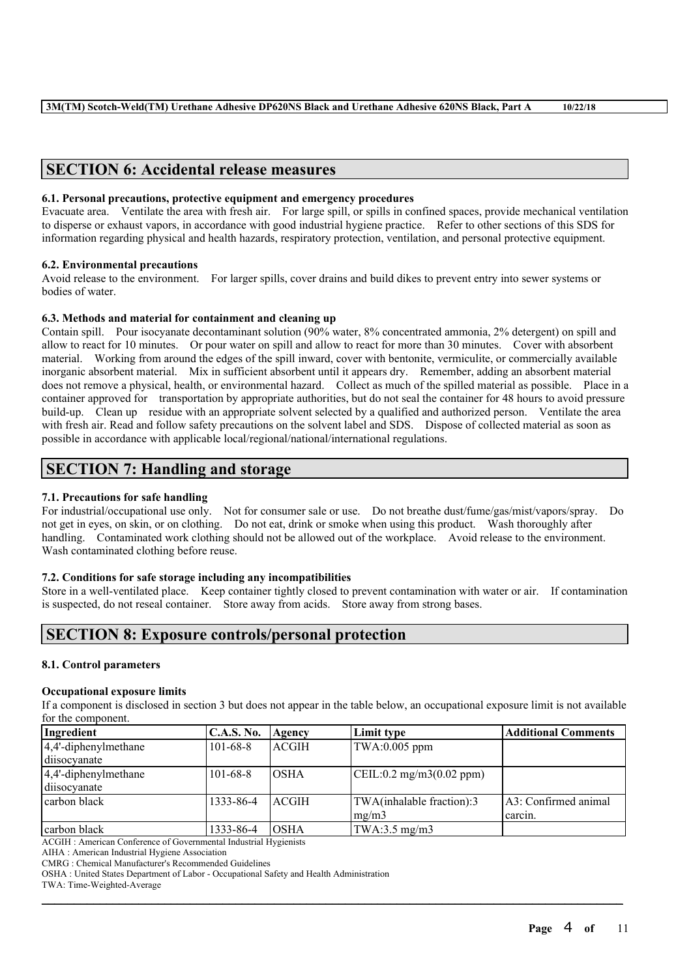# **SECTION 6: Accidental release measures**

### **6.1. Personal precautions, protective equipment and emergency procedures**

Evacuate area. Ventilate the area with fresh air. For large spill, or spills in confined spaces, provide mechanical ventilation to disperse or exhaust vapors, in accordance with good industrial hygiene practice. Refer to other sections of this SDS for information regarding physical and health hazards, respiratory protection, ventilation, and personal protective equipment.

### **6.2. Environmental precautions**

Avoid release to the environment. For larger spills, cover drains and build dikes to prevent entry into sewer systems or bodies of water.

### **6.3. Methods and material for containment and cleaning up**

Contain spill. Pour isocyanate decontaminant solution (90% water, 8% concentrated ammonia, 2% detergent) on spill and allow to react for 10 minutes. Or pour water on spill and allow to react for more than 30 minutes. Cover with absorbent material. Working from around the edges of the spill inward, cover with bentonite, vermiculite, or commercially available inorganic absorbent material. Mix in sufficient absorbent until it appears dry. Remember, adding an absorbent material does not remove a physical, health, or environmental hazard. Collect as much of the spilled material as possible. Place in a container approved for transportation by appropriate authorities, but do not seal the container for 48 hours to avoid pressure build-up. Clean up residue with an appropriate solvent selected by a qualified and authorized person. Ventilate the area with fresh air. Read and follow safety precautions on the solvent label and SDS. Dispose of collected material as soon as possible in accordance with applicable local/regional/national/international regulations.

# **SECTION 7: Handling and storage**

### **7.1. Precautions for safe handling**

For industrial/occupational use only. Not for consumer sale or use. Do not breathe dust/fume/gas/mist/vapors/spray. Do not get in eyes, on skin, or on clothing. Do not eat, drink or smoke when using this product. Wash thoroughly after handling. Contaminated work clothing should not be allowed out of the workplace. Avoid release to the environment. Wash contaminated clothing before reuse.

### **7.2. Conditions for safe storage including any incompatibilities**

Store in a well-ventilated place. Keep container tightly closed to prevent contamination with water or air. If contamination is suspected, do not reseal container. Store away from acids. Store away from strong bases.

# **SECTION 8: Exposure controls/personal protection**

### **8.1. Control parameters**

### **Occupational exposure limits**

If a component is disclosed in section 3 but does not appear in the table below, an occupational exposure limit is not available for the component.

| Ingredient               | <b>C.A.S. No.</b> | Agency       | Limit type                                        | <b>Additional Comments</b> |
|--------------------------|-------------------|--------------|---------------------------------------------------|----------------------------|
| $4,4'$ -diphenylmethane  | $101 - 68 - 8$    | <b>ACGIH</b> | $TWA:0.005$ ppm                                   |                            |
| diisocyanate             |                   |              |                                                   |                            |
| $ 4,4$ '-diphenylmethane | $101 - 68 - 8$    | IOSHA        | $\text{CEIL}:0.2 \text{ mg/m}3(0.02 \text{ ppm})$ |                            |
| diisocyanate             |                   |              |                                                   |                            |
| carbon black             | 1333-86-4         | ACGIH        | TWA(inhalable fraction):3                         | A3: Confirmed animal       |
|                          |                   |              | mg/m3                                             | carcin.                    |
| carbon black             | 1333-86-4         | <b>OSHA</b>  | TWA:3.5 mg/m3                                     |                            |

 $\mathcal{L}_\mathcal{L} = \mathcal{L}_\mathcal{L} = \mathcal{L}_\mathcal{L} = \mathcal{L}_\mathcal{L} = \mathcal{L}_\mathcal{L} = \mathcal{L}_\mathcal{L} = \mathcal{L}_\mathcal{L} = \mathcal{L}_\mathcal{L} = \mathcal{L}_\mathcal{L} = \mathcal{L}_\mathcal{L} = \mathcal{L}_\mathcal{L} = \mathcal{L}_\mathcal{L} = \mathcal{L}_\mathcal{L} = \mathcal{L}_\mathcal{L} = \mathcal{L}_\mathcal{L} = \mathcal{L}_\mathcal{L} = \mathcal{L}_\mathcal{L}$ 

ACGIH : American Conference of Governmental Industrial Hygienists

AIHA : American Industrial Hygiene Association

CMRG : Chemical Manufacturer's Recommended Guidelines

OSHA : United States Department of Labor - Occupational Safety and Health Administration

TWA: Time-Weighted-Average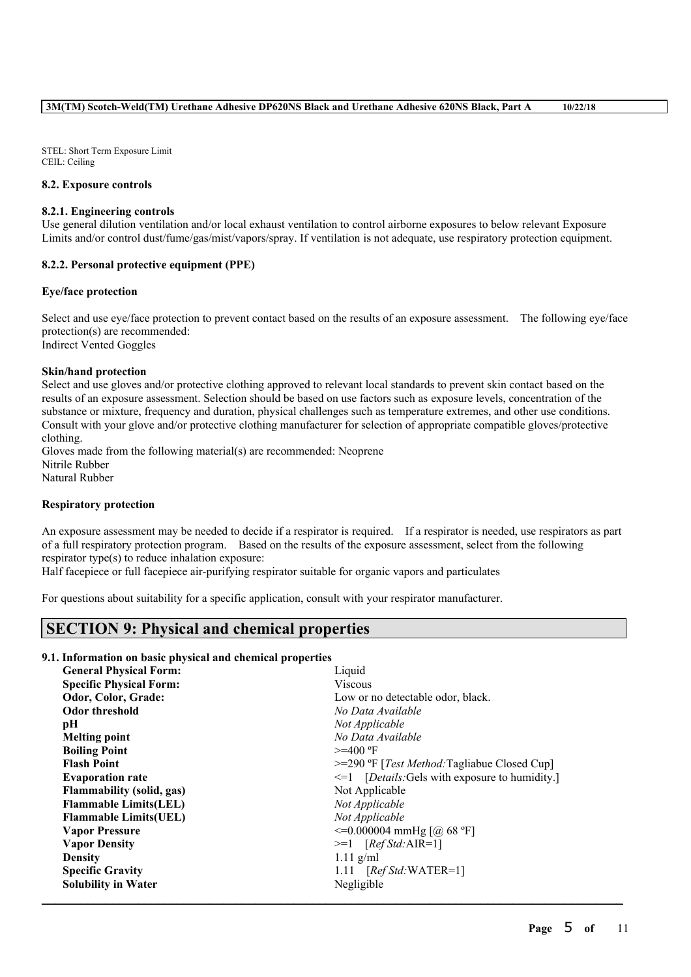STEL: Short Term Exposure Limit CEIL: Ceiling

### **8.2. Exposure controls**

### **8.2.1. Engineering controls**

Use general dilution ventilation and/or local exhaust ventilation to control airborne exposures to below relevant Exposure Limits and/or control dust/fume/gas/mist/vapors/spray. If ventilation is not adequate, use respiratory protection equipment.

### **8.2.2. Personal protective equipment (PPE)**

### **Eye/face protection**

Select and use eye/face protection to prevent contact based on the results of an exposure assessment. The following eye/face protection(s) are recommended: Indirect Vented Goggles

### **Skin/hand protection**

Select and use gloves and/or protective clothing approved to relevant local standards to prevent skin contact based on the results of an exposure assessment. Selection should be based on use factors such as exposure levels, concentration of the substance or mixture, frequency and duration, physical challenges such as temperature extremes, and other use conditions. Consult with your glove and/or protective clothing manufacturer for selection of appropriate compatible gloves/protective clothing.

Gloves made from the following material(s) are recommended: Neoprene Nitrile Rubber Natural Rubber

### **Respiratory protection**

An exposure assessment may be needed to decide if a respirator is required. If a respirator is needed, use respirators as part of a full respiratory protection program. Based on the results of the exposure assessment, select from the following respirator type(s) to reduce inhalation exposure:

Half facepiece or full facepiece air-purifying respirator suitable for organic vapors and particulates

For questions about suitability for a specific application, consult with your respirator manufacturer.

# **SECTION 9: Physical and chemical properties**

### **9.1. Information on basic physical and chemical properties**

| <b>General Physical Form:</b>    | Liquid                                                  |
|----------------------------------|---------------------------------------------------------|
| <b>Specific Physical Form:</b>   | <b>Viscous</b>                                          |
| Odor, Color, Grade:              | Low or no detectable odor, black.                       |
| <b>Odor threshold</b>            | No Data Available                                       |
| pН                               | Not Applicable                                          |
| <b>Melting point</b>             | No Data Available                                       |
| <b>Boiling Point</b>             | $>=$ 400 °F                                             |
| <b>Flash Point</b>               | $>=$ 290 °F [ <i>Test Method:</i> Tagliabue Closed Cup] |
| <b>Evaporation rate</b>          | $\leq 1$ [Details: Gels with exposure to humidity.]     |
| <b>Flammability</b> (solid, gas) | Not Applicable                                          |
| <b>Flammable Limits(LEL)</b>     | Not Applicable                                          |
| <b>Flammable Limits (UEL)</b>    | Not Applicable                                          |
| <b>Vapor Pressure</b>            | $\leq$ =0.000004 mmHg [@ 68 °F]                         |
| <b>Vapor Density</b>             | $>=1$ [Ref Std:AIR=1]                                   |
| <b>Density</b>                   | $1.11$ g/ml                                             |
| <b>Specific Gravity</b>          | 1.11 $[RefStd:WATER=1]$                                 |
| <b>Solubility in Water</b>       | Negligible                                              |
|                                  |                                                         |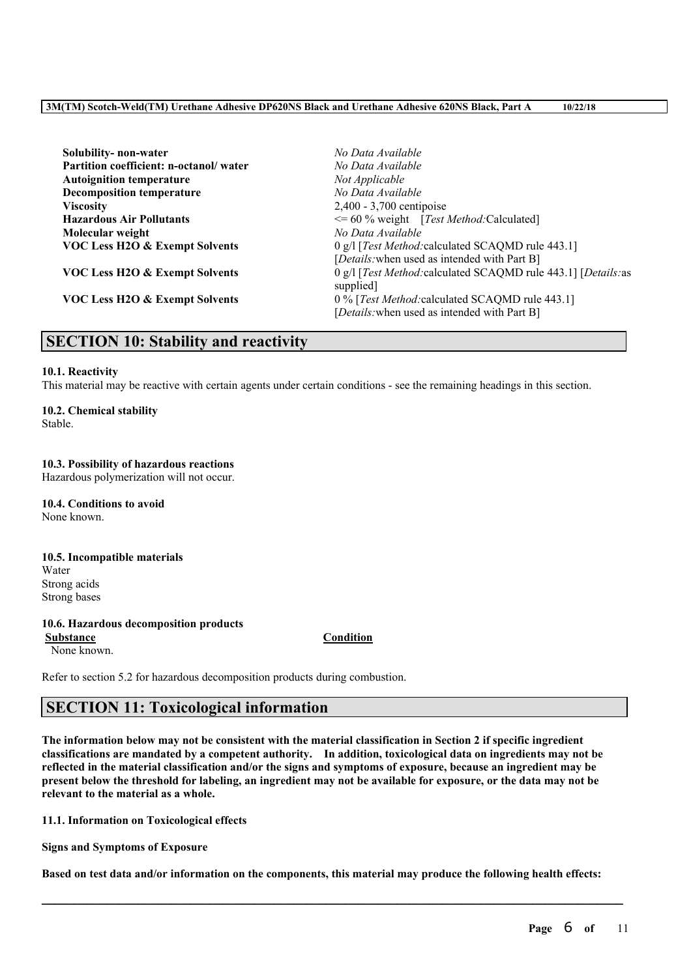| Solubility- non-water                     | No Data Available                                                                               |
|-------------------------------------------|-------------------------------------------------------------------------------------------------|
| Partition coefficient: n-octanol/water    | No Data Available                                                                               |
| <b>Autoignition temperature</b>           | Not Applicable                                                                                  |
| <b>Decomposition temperature</b>          | No Data Available                                                                               |
| <b>Viscosity</b>                          | 2,400 - 3,700 centipoise                                                                        |
| <b>Hazardous Air Pollutants</b>           | $\leq$ 60 % weight [Test Method: Calculated]                                                    |
| Molecular weight                          | No Data Available                                                                               |
| VOC Less H2O & Exempt Solvents            | 0 g/l [Test Method: calculated SCAQMD rule 443.1]                                               |
|                                           | [Details: when used as intended with Part B]                                                    |
| <b>VOC Less H2O &amp; Exempt Solvents</b> | 0 g/l [Test Method: calculated SCAQMD rule 443.1] [Details: as<br>supplied.                     |
| <b>VOC Less H2O &amp; Exempt Solvents</b> | 0 % [Test Method: calculated SCAQMD rule 443.1]<br>[Details: when used as intended with Part B] |

# **SECTION 10: Stability and reactivity**

### **10.1. Reactivity**

This material may be reactive with certain agents under certain conditions - see the remaining headings in this section.

# **10.2. Chemical stability**

Stable.

### **10.3. Possibility of hazardous reactions**

Hazardous polymerization will not occur.

**10.4. Conditions to avoid** None known.

### **10.5. Incompatible materials** Water Strong acids Strong bases

# **10.6. Hazardous decomposition products**

None known.

**Substance Condition**

Refer to section 5.2 for hazardous decomposition products during combustion.

# **SECTION 11: Toxicological information**

The information below may not be consistent with the material classification in Section 2 if specific ingredient **classifications are mandated by a competent authority. In addition, toxicological data on ingredients may not be** reflected in the material classification and/or the signs and symptoms of exposure, because an ingredient may be present below the threshold for labeling, an ingredient may not be available for exposure, or the data may not be **relevant to the material as a whole.**

**11.1. Information on Toxicological effects**

**Signs and Symptoms of Exposure**

Based on test data and/or information on the components, this material may produce the following health effects: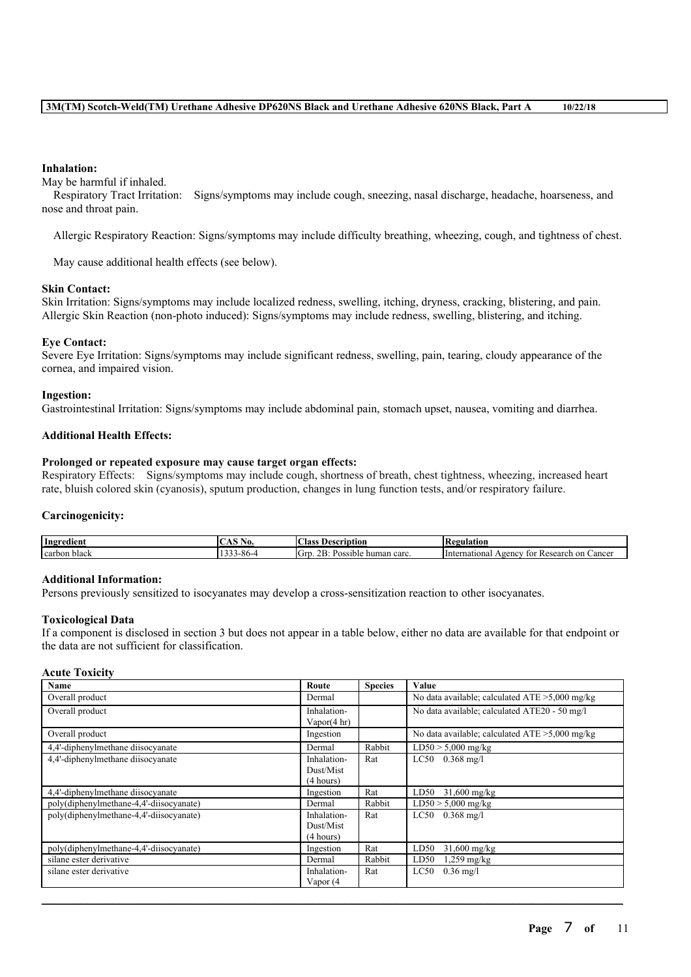### **Inhalation:**

May be harmful if inhaled.

Respiratory Tract Irritation: Signs/symptoms may include cough, sneezing, nasal discharge, headache, hoarseness, and nose and throat pain.

Allergic Respiratory Reaction: Signs/symptoms may include difficulty breathing, wheezing, cough, and tightness of chest.

May cause additional health effects (see below).

### **Skin Contact:**

Skin Irritation: Signs/symptoms may include localized redness, swelling, itching, dryness, cracking, blistering, and pain. Allergic Skin Reaction (non-photo induced): Signs/symptoms may include redness, swelling, blistering, and itching.

### **Eye Contact:**

Severe Eye Irritation: Signs/symptoms may include significant redness, swelling, pain, tearing, cloudy appearance of the cornea, and impaired vision.

### **Ingestion:**

Gastrointestinal Irritation: Signs/symptoms may include abdominal pain, stomach upset, nausea, vomiting and diarrhea.

### **Additional Health Effects:**

### **Prolonged or repeated exposure may cause target organ effects:**

Respiratory Effects: Signs/symptoms may include cough, shortness of breath, chest tightness, wheezing, increased heart rate, bluish colored skin (cyanosis), sputum production, changes in lung function tests, and/or respiratory failure.

### **Carcinogenicity:**

| Ingredient   | NU.   | $\sim$<br>scription<br>Aas<br>1 Je                   | 'egulation                                                       |
|--------------|-------|------------------------------------------------------|------------------------------------------------------------------|
| carbon black | 3-80- | <sup>I</sup> Gt<br>$\sim$<br>acarc<br>sible<br>human | mational<br>. on<br>∠ance<br>Research<br>eencv<br>unter –<br>tor |

### **Additional Information:**

Persons previously sensitized to isocyanates may develop a cross-sensitization reaction to other isocyanates.

### **Toxicological Data**

If a component is disclosed in section 3 but does not appear in a table below, either no data are available for that endpoint or the data are not sufficient for classification.

### **Acute Toxicity**

| <b>Name</b>                             | Route                                 | <b>Species</b> | Value                                             |
|-----------------------------------------|---------------------------------------|----------------|---------------------------------------------------|
| Overall product                         | Dermal                                |                | No data available; calculated $ATE > 5,000$ mg/kg |
| Overall product                         | Inhalation-<br>Vapor(4 hr)            |                | No data available; calculated ATE20 - 50 mg/l     |
| Overall product                         | Ingestion                             |                | No data available; calculated $ATE > 5,000$ mg/kg |
| 4,4'-diphenylmethane diisocyanate       | Dermal                                | Rabbit         | $LD50 > 5,000$ mg/kg                              |
| 4.4'-diphenylmethane diisocyanate       | Inhalation-<br>Dust/Mist<br>(4 hours) | Rat            | $LC50$ 0.368 mg/l                                 |
| 4,4'-diphenylmethane diisocyanate       | Ingestion                             | Rat            | $31,600 \text{ mg/kg}$<br>LD50                    |
| poly(diphenylmethane-4,4'-diisocyanate) | Dermal                                | Rabbit         | $LD50 > 5,000$ mg/kg                              |
| poly(diphenylmethane-4,4'-diisocyanate) | Inhalation-<br>Dust/Mist<br>(4 hours) | Rat            | LC50<br>$0.368 \text{ mg/l}$                      |
| poly(diphenylmethane-4,4'-diisocyanate) | Ingestion                             | Rat            | LD50<br>$31,600 \text{ mg/kg}$                    |
| silane ester derivative                 | Dermal                                | Rabbit         | LD50<br>$1,259$ mg/kg                             |
| silane ester derivative                 | Inhalation-<br>Vapor (4               | Rat            | LC50<br>$0.36 \text{ mg/l}$                       |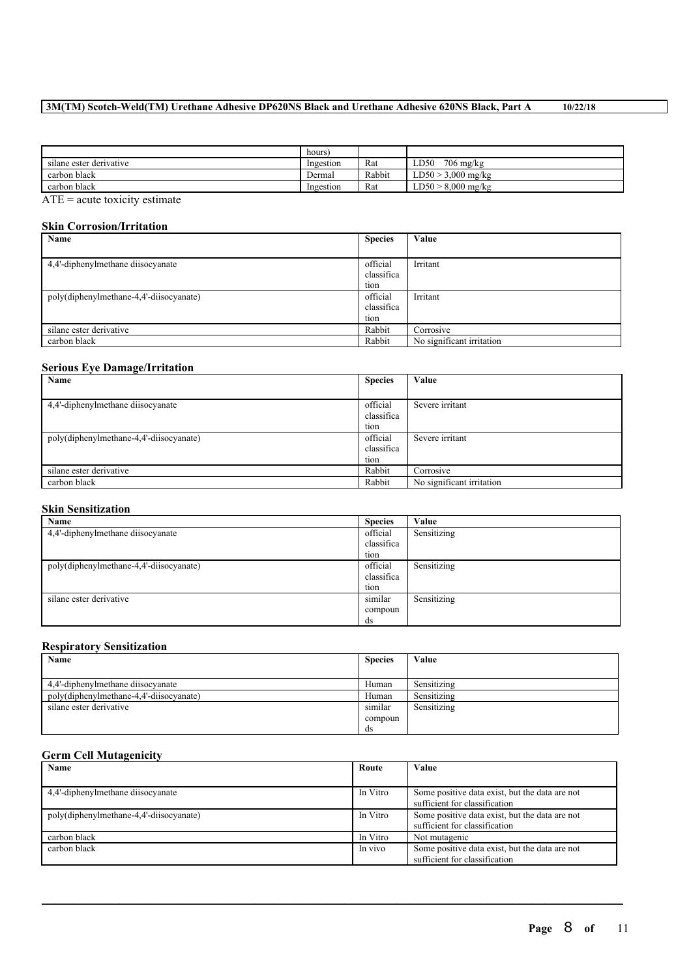### **3M(TM) Scotch-Weld(TM) Urethane Adhesive DP620NS Black and Urethane Adhesive 620NS Black, Part A 10/22/18**

|                         | hours)    |        |                           |
|-------------------------|-----------|--------|---------------------------|
| silane ester derivative | Ingestion | Rat    | $706$ mg/kg<br>LD50       |
| carbon black            | Dermal    | Rabbit | $3.000$ mg/kg<br>LD50 > ? |
| carbon black            | Ingestion | Rat    | $LD50 > 8,000$ mg/kg      |
| ____                    |           |        |                           |

 $\overline{ATE}$  = acute toxicity estimate

### **Skin Corrosion/Irritation**

| $\omega$ mii $\omega$ vii v $\omega$ ivii ni maavivii |                |                           |  |  |  |  |
|-------------------------------------------------------|----------------|---------------------------|--|--|--|--|
| Name                                                  | <b>Species</b> | Value                     |  |  |  |  |
|                                                       |                |                           |  |  |  |  |
| 4,4'-diphenylmethane diisocyanate                     | official       | Irritant                  |  |  |  |  |
|                                                       | classifica     |                           |  |  |  |  |
|                                                       | tion           |                           |  |  |  |  |
| poly(diphenylmethane-4,4'-diisocyanate)               | official       | Irritant                  |  |  |  |  |
|                                                       | classifica     |                           |  |  |  |  |
|                                                       | tion           |                           |  |  |  |  |
| silane ester derivative                               | Rabbit         | Corrosive                 |  |  |  |  |
| carbon black                                          | Rabbit         | No significant irritation |  |  |  |  |

### **Serious Eye Damage/Irritation**

| Name                                    | <b>Species</b> | Value                     |
|-----------------------------------------|----------------|---------------------------|
|                                         |                |                           |
| 4,4'-diphenylmethane diisocyanate       | official       | Severe irritant           |
|                                         | classifica     |                           |
|                                         | tion           |                           |
| poly(diphenylmethane-4,4'-diisocyanate) | official       | Severe irritant           |
|                                         | classifica     |                           |
|                                         | tion           |                           |
| silane ester derivative                 | Rabbit         | Corrosive                 |
| carbon black                            | Rabbit         | No significant irritation |

### **Skin Sensitization**

| Name                                    | <b>Species</b> | Value       |
|-----------------------------------------|----------------|-------------|
| 4,4'-diphenylmethane diisocyanate       | official       | Sensitizing |
|                                         | classifica     |             |
|                                         | tion           |             |
| poly(diphenylmethane-4,4'-diisocyanate) | official       | Sensitizing |
|                                         | classifica     |             |
|                                         | tion           |             |
| silane ester derivative                 | similar        | Sensitizing |
|                                         | compoun        |             |
|                                         | ds             |             |

### **Respiratory Sensitization**

| Name                                    | <b>Species</b> | Value       |
|-----------------------------------------|----------------|-------------|
|                                         |                |             |
| 4.4'-diphenylmethane diisocyanate       | Human          | Sensitizing |
| poly(diphenylmethane-4,4'-diisocyanate) | Human          | Sensitizing |
| silane ester derivative                 | similar        | Sensitizing |
|                                         | compoun        |             |
|                                         | ds             |             |

### **Germ Cell Mutagenicity**

| Name                                    | Route    | Value                                                                           |
|-----------------------------------------|----------|---------------------------------------------------------------------------------|
|                                         |          |                                                                                 |
| 4,4'-diphenylmethane diisocyanate       | In Vitro | Some positive data exist, but the data are not<br>sufficient for classification |
| poly(diphenylmethane-4,4'-diisocyanate) | In Vitro | Some positive data exist, but the data are not<br>sufficient for classification |
| carbon black                            | In Vitro | Not mutagenic                                                                   |
| carbon black                            | In vivo  | Some positive data exist, but the data are not<br>sufficient for classification |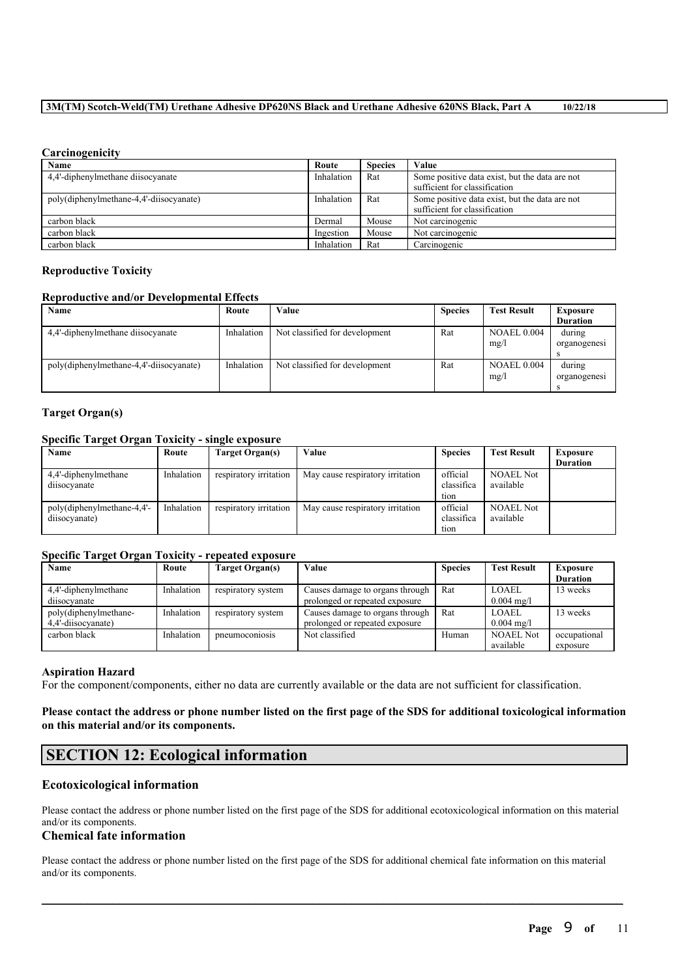### **3M(TM) Scotch-Weld(TM) Urethane Adhesive DP620NS Black and Urethane Adhesive 620NS Black, Part A 10/22/18**

### **Carcinogenicity**

| Name                                    | Route      | <b>Species</b> | Value                                                                           |
|-----------------------------------------|------------|----------------|---------------------------------------------------------------------------------|
| 4,4'-diphenylmethane diisocyanate       | Inhalation | Rat            | Some positive data exist, but the data are not<br>sufficient for classification |
| poly(diphenylmethane-4,4'-diisocyanate) | Inhalation | Rat            | Some positive data exist, but the data are not<br>sufficient for classification |
| carbon black                            | Dermal     | Mouse          | Not carcinogenic                                                                |
| carbon black                            | Ingestion  | Mouse          | Not carcinogenic                                                                |
| carbon black                            | Inhalation | Rat            | Carcinogenic                                                                    |

### **Reproductive Toxicity**

### **Reproductive and/or Developmental Effects**

| Name                                    | Route      | Value                          | <b>Species</b> | <b>Test Result</b>         | <b>Exposure</b><br><b>Duration</b> |
|-----------------------------------------|------------|--------------------------------|----------------|----------------------------|------------------------------------|
| 4.4'-diphenylmethane diisocyanate       | Inhalation | Not classified for development | Rat            | <b>NOAEL 0.004</b><br>mg/l | during<br>organogenesi             |
| poly(diphenylmethane-4,4'-diisocyanate) | Inhalation | Not classified for development | Rat            | <b>NOAEL 0.004</b><br>mg/l | during<br>organogenesi             |

### **Target Organ(s)**

### **Specific Target Organ Toxicity - single exposure**

| Name                                        | Route      | Target Organ(s)        | Value                            | <b>Species</b>         | <b>Test Result</b>            | <b>Exposure</b><br><b>Duration</b> |
|---------------------------------------------|------------|------------------------|----------------------------------|------------------------|-------------------------------|------------------------------------|
| 4,4'-diphenylmethane                        | Inhalation | respiratory irritation | May cause respiratory irritation | official               | <b>NOAEL Not</b>              |                                    |
| diisocyanate                                |            |                        |                                  | classifica<br>tion     | available                     |                                    |
| poly(diphenylmethane-4,4'-<br>diisocyanate) | Inhalation | respiratory irritation | May cause respiratory irritation | official<br>classifica | <b>NOAEL Not</b><br>available |                                    |
|                                             |            |                        |                                  | tion                   |                               |                                    |

### **Specific Target Organ Toxicity - repeated exposure**

| Name                  | Route      | Target Organ(s)    | Value                           | <b>Species</b> | <b>Test Result</b>    | <b>Exposure</b> |
|-----------------------|------------|--------------------|---------------------------------|----------------|-----------------------|-----------------|
|                       |            |                    |                                 |                |                       | <b>Duration</b> |
| 4,4'-diphenylmethane  | Inhalation | respiratory system | Causes damage to organs through | Rat            | LOAEL                 | 3 weeks         |
| diisocvanate          |            |                    | prolonged or repeated exposure  |                | $0.004 \text{ mg/l}$  |                 |
| poly(diphenylmethane- | Inhalation | respiratory system | Causes damage to organs through | Rat            | LOAEL                 | 3 weeks         |
| 4.4'-diisocvanate)    |            |                    | prolonged or repeated exposure  |                | $0.004 \text{ m}$ g/l |                 |
| carbon black          | Inhalation | pneumoconiosis     | Not classified                  | Human          | <b>NOAEL Not</b>      | occupational    |
|                       |            |                    |                                 |                | available             | exposure        |

### **Aspiration Hazard**

For the component/components, either no data are currently available or the data are not sufficient for classification.

### Please contact the address or phone number listed on the first page of the SDS for additional toxicological information **on this material and/or its components.**

# **SECTION 12: Ecological information**

### **Ecotoxicological information**

Please contact the address or phone number listed on the first page of the SDS for additional ecotoxicological information on this material and/or its components.

### **Chemical fate information**

Please contact the address or phone number listed on the first page of the SDS for additional chemical fate information on this material and/or its components.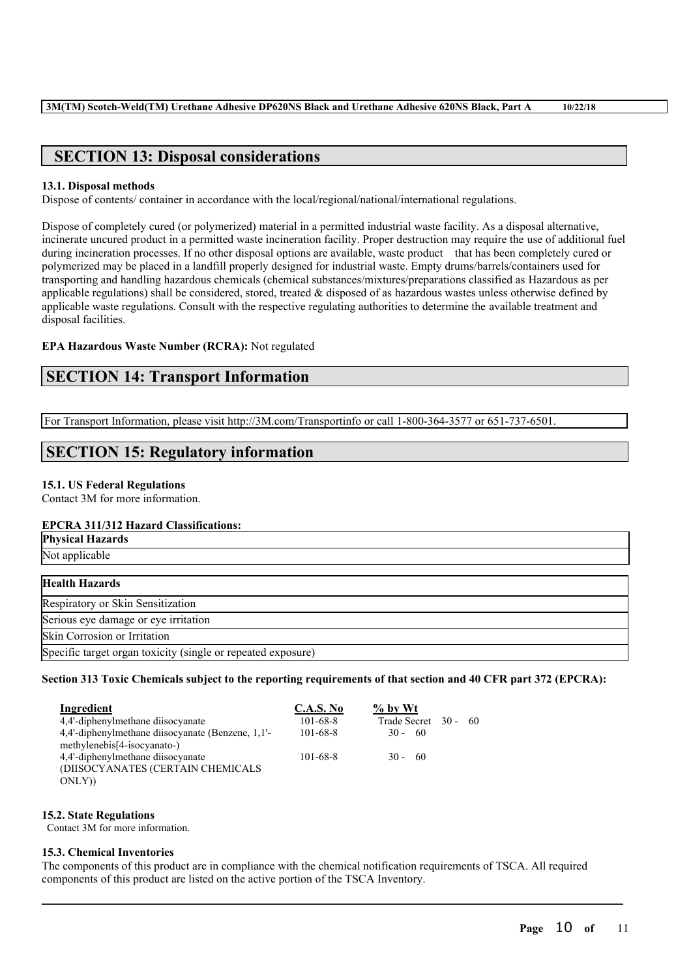# **SECTION 13: Disposal considerations**

### **13.1. Disposal methods**

Dispose of contents/ container in accordance with the local/regional/national/international regulations.

Dispose of completely cured (or polymerized) material in a permitted industrial waste facility. As a disposal alternative, incinerate uncured product in a permitted waste incineration facility. Proper destruction may require the use of additional fuel during incineration processes. If no other disposal options are available, waste product that has been completely cured or polymerized may be placed in a landfill properly designed for industrial waste. Empty drums/barrels/containers used for transporting and handling hazardous chemicals (chemical substances/mixtures/preparations classified as Hazardous as per applicable regulations) shall be considered, stored, treated  $\&$  disposed of as hazardous wastes unless otherwise defined by applicable waste regulations. Consult with the respective regulating authorities to determine the available treatment and disposal facilities.

### **EPA Hazardous Waste Number (RCRA):** Not regulated

# **SECTION 14: Transport Information**

For Transport Information, please visit http://3M.com/Transportinfo or call 1-800-364-3577 or 651-737-6501.

# **SECTION 15: Regulatory information**

### **15.1. US Federal Regulations**

Contact 3M for more information.

### **EPCRA 311/312 Hazard Classifications:**

| пт отличать тими и сполномирно                               |  |
|--------------------------------------------------------------|--|
| <b>Physical Hazards</b>                                      |  |
| Not applicable                                               |  |
|                                                              |  |
| <b>Health Hazards</b>                                        |  |
| Respiratory or Skin Sensitization                            |  |
| Serious eye damage or eye irritation                         |  |
| Skin Corrosion or Irritation                                 |  |
| Specific target organ toxicity (single or repeated exposure) |  |

### Section 313 Toxic Chemicals subject to the reporting requirements of that section and 40 CFR part 372 (EPCRA):

| Ingredient                                        | C.A.S. No      | $%$ by Wt         |     |
|---------------------------------------------------|----------------|-------------------|-----|
| 4.4'-diphenylmethane diisocyanate                 | $101 - 68 - 8$ | Trade Secret 30 - | -60 |
| 4,4'-diphenylmethane diisocyanate (Benzene, 1,1'- | $101 - 68 - 8$ | $30 - 60$         |     |
| methylenebis[4-isocyanato-)                       |                |                   |     |
| 4.4'-diphenylmethane diisocyanate                 | $101 - 68 - 8$ | $30 - 60$         |     |
| (DIISOCYANATES (CERTAIN CHEMICALS                 |                |                   |     |
| ONLY)                                             |                |                   |     |

### **15.2. State Regulations**

Contact 3M for more information.

### **15.3. Chemical Inventories**

The components of this product are in compliance with the chemical notification requirements of TSCA. All required components of this product are listed on the active portion of the TSCA Inventory.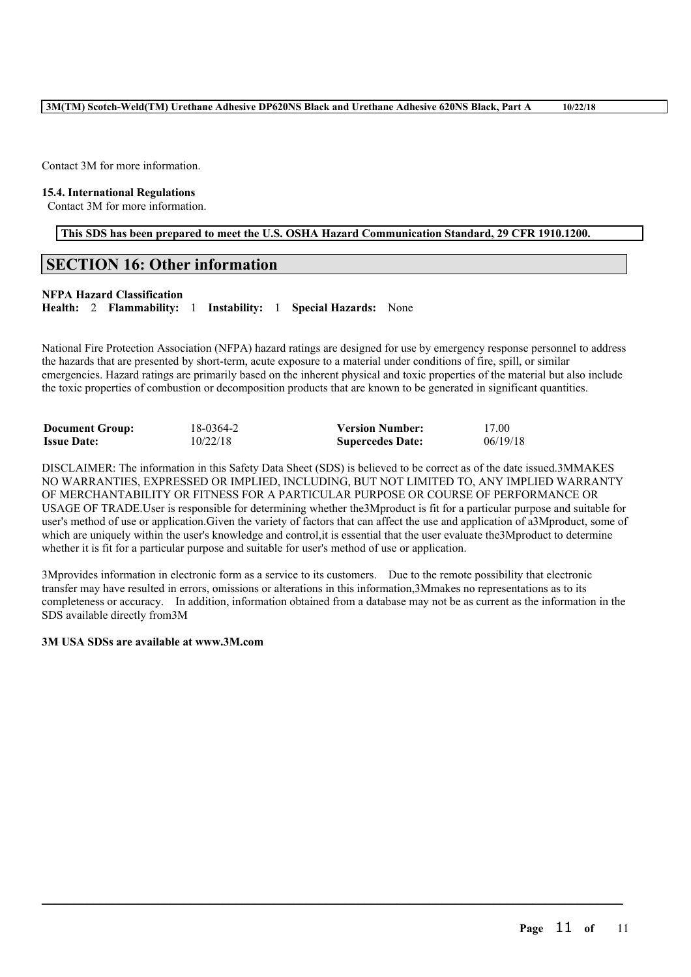Contact 3M for more information.

### **15.4. International Regulations**

Contact 3M for more information.

**This SDS has been prepared to meet the U.S. OSHA Hazard Communication Standard, 29 CFR 1910.1200.**

### **SECTION 16: Other information**

### **NFPA Hazard Classification**

**Health:** 2 **Flammability:** 1 **Instability:** 1 **Special Hazards:** None

National Fire Protection Association (NFPA) hazard ratings are designed for use by emergency response personnel to address the hazards that are presented by short-term, acute exposure to a material under conditions of fire, spill, or similar emergencies. Hazard ratings are primarily based on the inherent physical and toxic properties of the material but also include the toxic properties of combustion or decomposition products that are known to be generated in significant quantities.

| <b>Document Group:</b> | 18-0364-2 | <b>Version Number:</b>  | 17.00    |
|------------------------|-----------|-------------------------|----------|
| <b>Issue Date:</b>     | 10/22/18  | <b>Supercedes Date:</b> | 06/19/18 |

DISCLAIMER: The information in this Safety Data Sheet (SDS) is believed to be correct as of the date issued.3MMAKES NO WARRANTIES, EXPRESSED OR IMPLIED, INCLUDING, BUT NOT LIMITED TO, ANY IMPLIED WARRANTY OF MERCHANTABILITY OR FITNESS FOR A PARTICULAR PURPOSE OR COURSE OF PERFORMANCE OR USAGE OF TRADE.User is responsible for determining whether the3Mproduct is fit for a particular purpose and suitable for user's method of use or application.Given the variety of factors that can affect the use and application of a3Mproduct, some of which are uniquely within the user's knowledge and control, it is essential that the user evaluate the3Mproduct to determine whether it is fit for a particular purpose and suitable for user's method of use or application.

3Mprovides information in electronic form as a service to its customers. Due to the remote possibility that electronic transfer may have resulted in errors, omissions or alterations in this information,3Mmakes no representations as to its completeness or accuracy. In addition, information obtained from a database may not be as current as the information in the SDS available directly from3M

 $\mathcal{L}_\mathcal{L} = \mathcal{L}_\mathcal{L} = \mathcal{L}_\mathcal{L} = \mathcal{L}_\mathcal{L} = \mathcal{L}_\mathcal{L} = \mathcal{L}_\mathcal{L} = \mathcal{L}_\mathcal{L} = \mathcal{L}_\mathcal{L} = \mathcal{L}_\mathcal{L} = \mathcal{L}_\mathcal{L} = \mathcal{L}_\mathcal{L} = \mathcal{L}_\mathcal{L} = \mathcal{L}_\mathcal{L} = \mathcal{L}_\mathcal{L} = \mathcal{L}_\mathcal{L} = \mathcal{L}_\mathcal{L} = \mathcal{L}_\mathcal{L}$ 

### **3M USA SDSs are available at www.3M.com**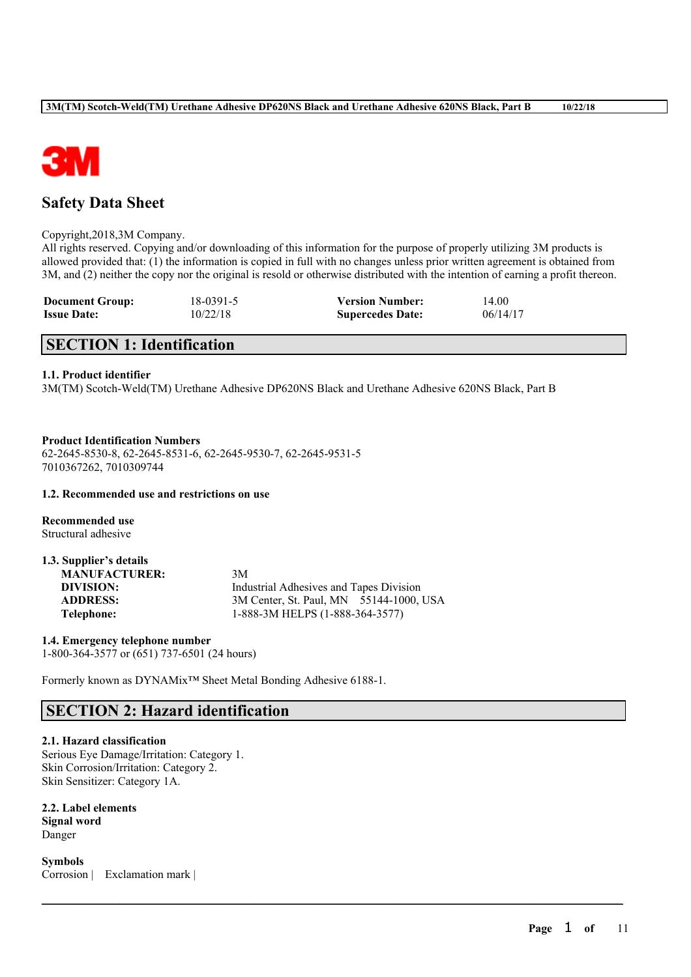

# **Safety Data Sheet**

### Copyright,2018,3M Company.

All rights reserved. Copying and/or downloading of this information for the purpose of properly utilizing 3M products is allowed provided that: (1) the information is copied in full with no changes unless prior written agreement is obtained from 3M, and (2) neither the copy nor the original is resold or otherwise distributed with the intention of earning a profit thereon.

 $\mathcal{L}_\mathcal{L} = \mathcal{L}_\mathcal{L} = \mathcal{L}_\mathcal{L} = \mathcal{L}_\mathcal{L} = \mathcal{L}_\mathcal{L} = \mathcal{L}_\mathcal{L} = \mathcal{L}_\mathcal{L} = \mathcal{L}_\mathcal{L} = \mathcal{L}_\mathcal{L} = \mathcal{L}_\mathcal{L} = \mathcal{L}_\mathcal{L} = \mathcal{L}_\mathcal{L} = \mathcal{L}_\mathcal{L} = \mathcal{L}_\mathcal{L} = \mathcal{L}_\mathcal{L} = \mathcal{L}_\mathcal{L} = \mathcal{L}_\mathcal{L}$ 

| <b>Document Group:</b> | 18-0391-5 | <b>Version Number:</b>  | 14.00    |
|------------------------|-----------|-------------------------|----------|
| <b>Issue Date:</b>     | 10/22/18  | <b>Supercedes Date:</b> | 06/14/17 |

# **SECTION 1: Identification**

### **1.1. Product identifier**

3M(TM) Scotch-Weld(TM) Urethane Adhesive DP620NS Black and Urethane Adhesive 620NS Black, Part B

### **Product Identification Numbers**

62-2645-8530-8, 62-2645-8531-6, 62-2645-9530-7, 62-2645-9531-5 7010367262, 7010309744

### **1.2. Recommended use and restrictions on use**

**Recommended use** Structural adhesive

| 1.3. Supplier's details |                                         |
|-------------------------|-----------------------------------------|
| <b>MANUFACTURER:</b>    | 3M                                      |
| DIVISION:               | Industrial Adhesives and Tapes Division |
| <b>ADDRESS:</b>         | 3M Center, St. Paul, MN 55144-1000, USA |
| Telephone:              | 1-888-3M HELPS (1-888-364-3577)         |

**1.4. Emergency telephone number** 1-800-364-3577 or (651) 737-6501 (24 hours)

Formerly known as DYNAMix™ Sheet Metal Bonding Adhesive 6188-1.

# **SECTION 2: Hazard identification**

# **2.1. Hazard classification**

Serious Eye Damage/Irritation: Category 1. Skin Corrosion/Irritation: Category 2. Skin Sensitizer: Category 1A.

**2.2. Label elements Signal word** Danger

**Symbols** Corrosion | Exclamation mark |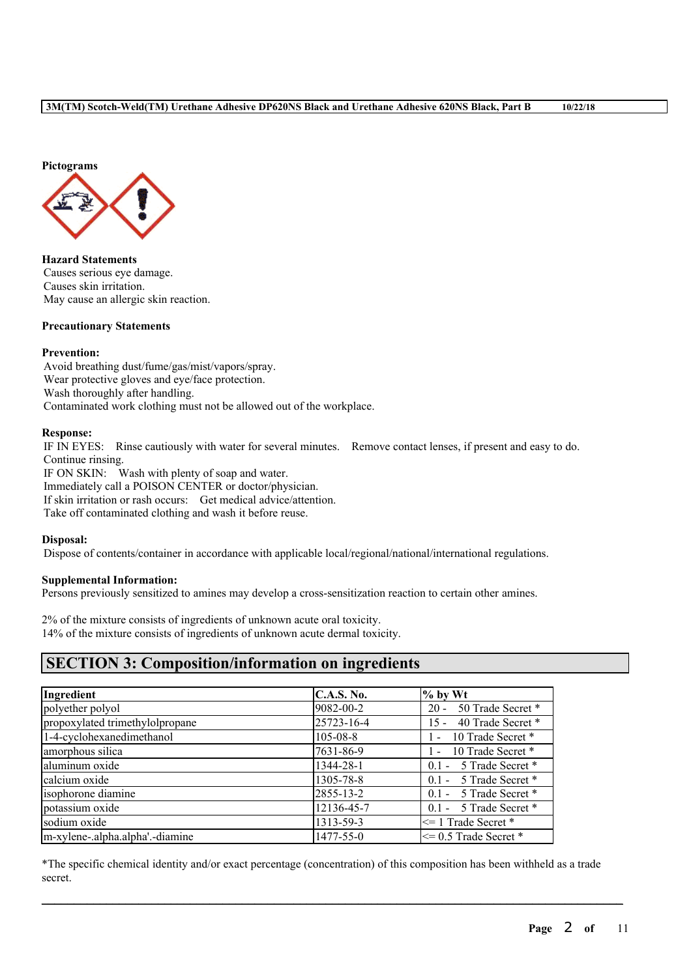

**Hazard Statements** Causes serious eye damage. Causes skin irritation. May cause an allergic skin reaction.

### **Precautionary Statements**

### **Prevention:**

Avoid breathing dust/fume/gas/mist/vapors/spray. Wear protective gloves and eye/face protection. Wash thoroughly after handling. Contaminated work clothing must not be allowed out of the workplace.

### **Response:**

IF IN EYES: Rinse cautiously with water for several minutes. Remove contact lenses, if present and easy to do. Continue rinsing.

IF ON SKIN: Wash with plenty of soap and water. Immediately call a POISON CENTER or doctor/physician. If skin irritation or rash occurs: Get medical advice/attention. Take off contaminated clothing and wash it before reuse.

### **Disposal:**

Dispose of contents/container in accordance with applicable local/regional/national/international regulations.

### **Supplemental Information:**

Persons previously sensitized to amines may develop a cross-sensitization reaction to certain other amines.

2% of the mixture consists of ingredients of unknown acute oral toxicity. 14% of the mixture consists of ingredients of unknown acute dermal toxicity.

# **SECTION 3: Composition/information on ingredients**

| Ingredient                      | <b>C.A.S. No.</b> | $\%$ by Wt                  |
|---------------------------------|-------------------|-----------------------------|
| polyether polyol                | 9082-00-2         | 20 - 50 Trade Secret *      |
| propoxylated trimethylolpropane | 25723-16-4        | 40 Trade Secret *<br>$15 -$ |
| 1-4-cyclohexanedimethanol       | $105 - 08 - 8$    | 1 - 10 Trade Secret *       |
| amorphous silica                | 7631-86-9         | 1 - 10 Trade Secret *       |
| aluminum oxide                  | 1344-28-1         | 0.1 - 5 Trade Secret *      |
| calcium oxide                   | 1305-78-8         | 0.1 - 5 Trade Secret *      |
| isophorone diamine              | 2855-13-2         | 0.1 - 5 Trade Secret *      |
| potassium oxide                 | 12136-45-7        | 0.1 - 5 Trade Secret *      |
| sodium oxide                    | 1313-59-3         | $\leq$ 1 Trade Secret *     |
| m-xylene-.alpha.alpha'.-diamine | 1477-55-0         | $\leq$ 0.5 Trade Secret *   |

\*The specific chemical identity and/or exact percentage (concentration) of this composition has been withheld as a trade secret.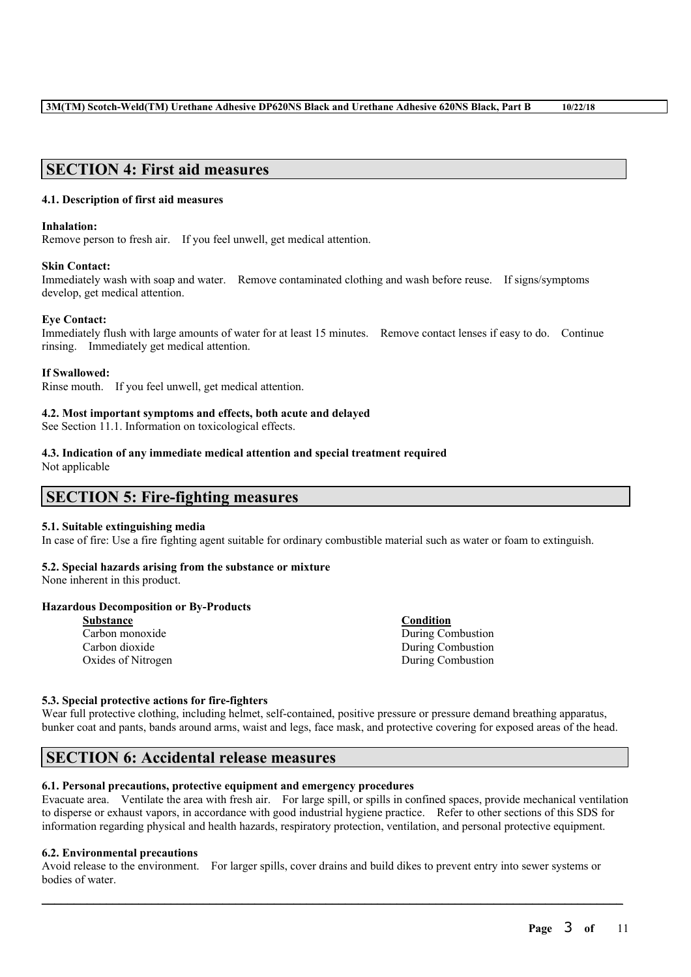# **SECTION 4: First aid measures**

### **4.1. Description of first aid measures**

### **Inhalation:**

Remove person to fresh air. If you feel unwell, get medical attention.

### **Skin Contact:**

Immediately wash with soap and water. Remove contaminated clothing and wash before reuse. If signs/symptoms develop, get medical attention.

### **Eye Contact:**

Immediately flush with large amounts of water for at least 15 minutes. Remove contact lenses if easy to do. Continue rinsing. Immediately get medical attention.

### **If Swallowed:**

Rinse mouth. If you feel unwell, get medical attention.

### **4.2. Most important symptoms and effects, both acute and delayed**

See Section 11.1. Information on toxicological effects.

### **4.3. Indication of any immediate medical attention and special treatment required**

Not applicable

# **SECTION 5: Fire-fighting measures**

### **5.1. Suitable extinguishing media**

In case of fire: Use a fire fighting agent suitable for ordinary combustible material such as water or foam to extinguish.

### **5.2. Special hazards arising from the substance or mixture**

None inherent in this product.

### **Hazardous Decomposition or By-Products**

| <b>Substance</b>   | Condition         |
|--------------------|-------------------|
| Carbon monoxide    | During Combustion |
| Carbon dioxide     | During Combustion |
| Oxides of Nitrogen | During Combustion |

### **5.3. Special protective actions for fire-fighters**

Wear full protective clothing, including helmet, self-contained, positive pressure or pressure demand breathing apparatus, bunker coat and pants, bands around arms, waist and legs, face mask, and protective covering for exposed areas of the head.

# **SECTION 6: Accidental release measures**

### **6.1. Personal precautions, protective equipment and emergency procedures**

Evacuate area. Ventilate the area with fresh air. For large spill, or spills in confined spaces, provide mechanical ventilation to disperse or exhaust vapors, in accordance with good industrial hygiene practice. Refer to other sections of this SDS for information regarding physical and health hazards, respiratory protection, ventilation, and personal protective equipment.

### **6.2. Environmental precautions**

Avoid release to the environment. For larger spills, cover drains and build dikes to prevent entry into sewer systems or bodies of water.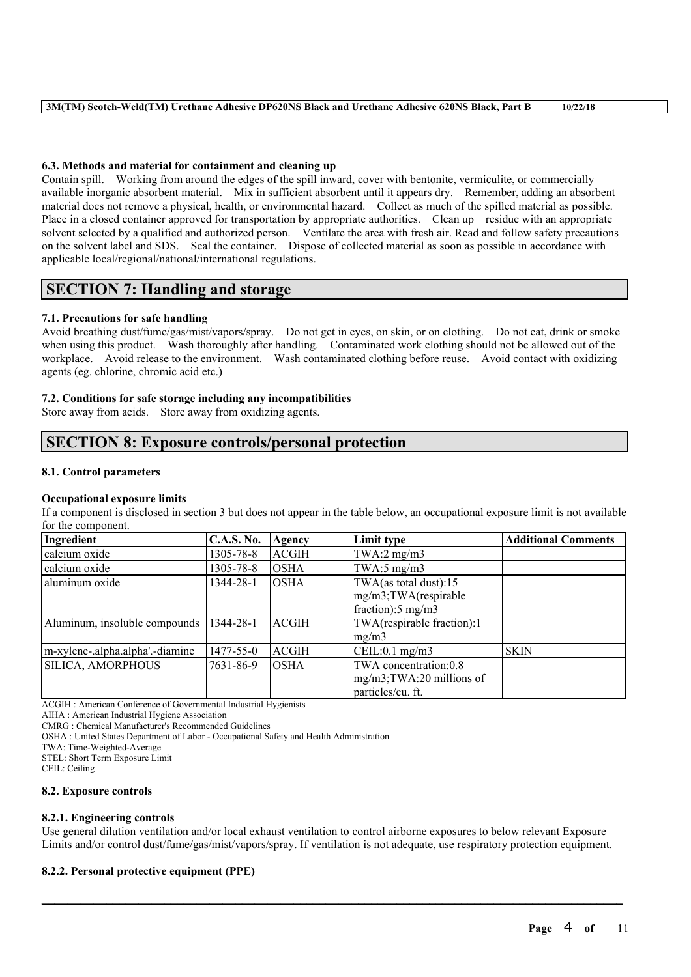### **6.3. Methods and material for containment and cleaning up**

Contain spill. Working from around the edges of the spill inward, cover with bentonite, vermiculite, or commercially available inorganic absorbent material. Mix in sufficient absorbent until it appears dry. Remember, adding an absorbent material does not remove a physical, health, or environmental hazard. Collect as much of the spilled material as possible. Place in a closed container approved for transportation by appropriate authorities. Clean up residue with an appropriate solvent selected by a qualified and authorized person. Ventilate the area with fresh air. Read and follow safety precautions on the solvent label and SDS. Seal the container. Dispose of collected material as soon as possible in accordance with applicable local/regional/national/international regulations.

# **SECTION 7: Handling and storage**

### **7.1. Precautions for safe handling**

Avoid breathing dust/fume/gas/mist/vapors/spray. Do not get in eyes, on skin, or on clothing. Do not eat, drink or smoke when using this product. Wash thoroughly after handling. Contaminated work clothing should not be allowed out of the workplace. Avoid release to the environment. Wash contaminated clothing before reuse. Avoid contact with oxidizing agents (eg. chlorine, chromic acid etc.)

### **7.2. Conditions for safe storage including any incompatibilities**

Store away from acids. Store away from oxidizing agents.

# **SECTION 8: Exposure controls/personal protection**

### **8.1. Control parameters**

### **Occupational exposure limits**

If a component is disclosed in section 3 but does not appear in the table below, an occupational exposure limit is not available for the component.

| Ingredient                      | <b>C.A.S. No.</b> | Agency       | Limit type                    | <b>Additional Comments</b> |
|---------------------------------|-------------------|--------------|-------------------------------|----------------------------|
| calcium oxide                   | 1305-78-8         | <b>ACGIH</b> | $TWA:2$ mg/m $3$              |                            |
| calcium oxide                   | 1305-78-8         | <b>OSHA</b>  | TWA:5 $mg/m3$                 |                            |
| aluminum oxide                  | 1344-28-1         | <b>OSHA</b>  | TWA(as total dust):15         |                            |
|                                 |                   |              | mg/m3;TWA(respirable          |                            |
|                                 |                   |              | fraction): $5 \text{ mg/m}$ 3 |                            |
| Aluminum, insoluble compounds   | 1344-28-1         | <b>ACGIH</b> | TWA(respirable fraction):1    |                            |
|                                 |                   |              | mg/m3                         |                            |
| m-xylene-.alpha.alpha'.-diamine | 1477-55-0         | <b>ACGIH</b> | CEIL:0.1 mg/m3                | <b>SKIN</b>                |
| SILICA, AMORPHOUS               | 7631-86-9         | <b>OSHA</b>  | TWA concentration:0.8         |                            |
|                                 |                   |              | $mg/m3$ ; TWA: 20 millions of |                            |
|                                 |                   |              | particles/cu. ft.             |                            |

ACGIH : American Conference of Governmental Industrial Hygienists

AIHA : American Industrial Hygiene Association

CMRG : Chemical Manufacturer's Recommended Guidelines

OSHA : United States Department of Labor - Occupational Safety and Health Administration

TWA: Time-Weighted-Average

STEL: Short Term Exposure Limit

CEIL: Ceiling

### **8.2. Exposure controls**

### **8.2.1. Engineering controls**

Use general dilution ventilation and/or local exhaust ventilation to control airborne exposures to below relevant Exposure Limits and/or control dust/fume/gas/mist/vapors/spray. If ventilation is not adequate, use respiratory protection equipment.

 $\mathcal{L}_\mathcal{L} = \mathcal{L}_\mathcal{L} = \mathcal{L}_\mathcal{L} = \mathcal{L}_\mathcal{L} = \mathcal{L}_\mathcal{L} = \mathcal{L}_\mathcal{L} = \mathcal{L}_\mathcal{L} = \mathcal{L}_\mathcal{L} = \mathcal{L}_\mathcal{L} = \mathcal{L}_\mathcal{L} = \mathcal{L}_\mathcal{L} = \mathcal{L}_\mathcal{L} = \mathcal{L}_\mathcal{L} = \mathcal{L}_\mathcal{L} = \mathcal{L}_\mathcal{L} = \mathcal{L}_\mathcal{L} = \mathcal{L}_\mathcal{L}$ 

### **8.2.2. Personal protective equipment (PPE)**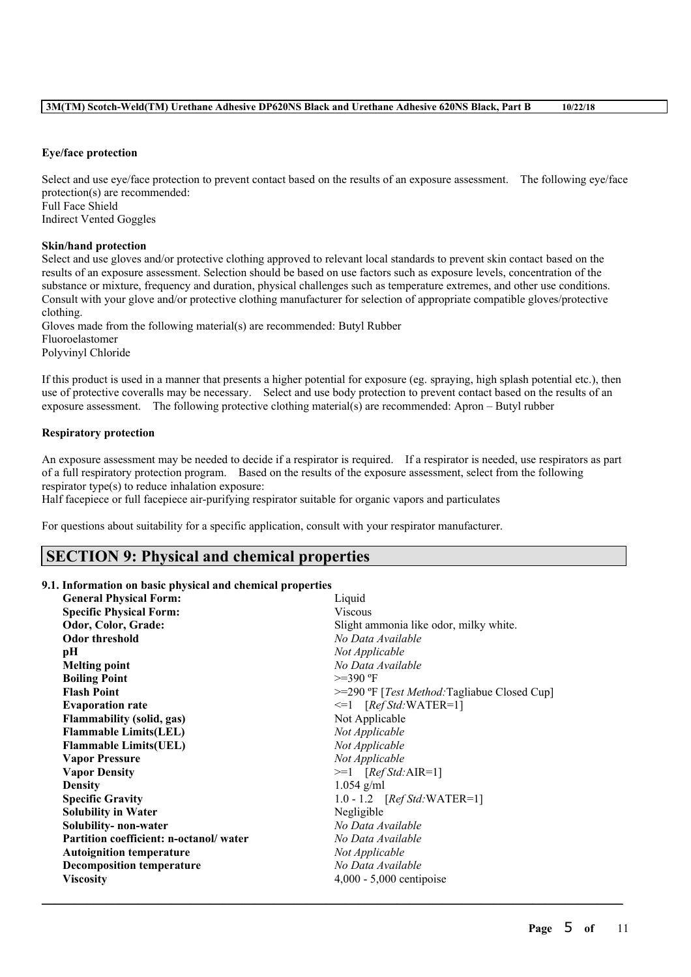### **3M(TM) Scotch-Weld(TM) Urethane Adhesive DP620NS Black and Urethane Adhesive 620NS Black, Part B 10/22/18**

### **Eye/face protection**

Select and use eve/face protection to prevent contact based on the results of an exposure assessment. The following eve/face protection(s) are recommended: Full Face Shield Indirect Vented Goggles

### **Skin/hand protection**

Select and use gloves and/or protective clothing approved to relevant local standards to prevent skin contact based on the results of an exposure assessment. Selection should be based on use factors such as exposure levels, concentration of the substance or mixture, frequency and duration, physical challenges such as temperature extremes, and other use conditions. Consult with your glove and/or protective clothing manufacturer for selection of appropriate compatible gloves/protective clothing.

Gloves made from the following material(s) are recommended: Butyl Rubber Fluoroelastomer Polyvinyl Chloride

If this product is used in a manner that presents a higher potential for exposure (eg. spraying, high splash potential etc.), then use of protective coveralls may be necessary. Select and use body protection to prevent contact based on the results of an exposure assessment. The following protective clothing material(s) are recommended: Apron – Butyl rubber

### **Respiratory protection**

An exposure assessment may be needed to decide if a respirator is required. If a respirator is needed, use respirators as part of a full respiratory protection program. Based on the results of the exposure assessment, select from the following respirator type(s) to reduce inhalation exposure:

Half facepiece or full facepiece air-purifying respirator suitable for organic vapors and particulates

For questions about suitability for a specific application, consult with your respirator manufacturer.

# **SECTION 9: Physical and chemical properties**

### **9.1. Information on basic physical and chemical properties**

| <b>General Physical Form:</b>          | Liquid                                                  |  |
|----------------------------------------|---------------------------------------------------------|--|
| <b>Specific Physical Form:</b>         | <b>Viscous</b>                                          |  |
| Odor, Color, Grade:                    | Slight ammonia like odor, milky white.                  |  |
| <b>Odor threshold</b>                  | No Data Available                                       |  |
| pН                                     | Not Applicable                                          |  |
| <b>Melting point</b>                   | No Data Available                                       |  |
| <b>Boiling Point</b>                   | $>=390$ °F                                              |  |
| <b>Flash Point</b>                     | $>=$ 290 °F [ <i>Test Method</i> :Tagliabue Closed Cup] |  |
| <b>Evaporation rate</b>                | $\leq 1$ [Ref Std:WATER=1]                              |  |
| <b>Flammability (solid, gas)</b>       | Not Applicable                                          |  |
| <b>Flammable Limits(LEL)</b>           | Not Applicable                                          |  |
| <b>Flammable Limits (UEL)</b>          | Not Applicable                                          |  |
| <b>Vapor Pressure</b>                  | Not Applicable                                          |  |
| <b>Vapor Density</b>                   | $>=1$ [Ref Std:AIR=1]                                   |  |
| <b>Density</b>                         | $1.054$ g/ml                                            |  |
| <b>Specific Gravity</b>                | 1.0 - 1.2 $[RefStd:WATER=1]$                            |  |
| <b>Solubility in Water</b>             | Negligible                                              |  |
| Solubility- non-water                  | No Data Available                                       |  |
| Partition coefficient: n-octanol/water | No Data Available                                       |  |
| <b>Autoignition temperature</b>        | Not Applicable                                          |  |
| <b>Decomposition temperature</b>       | No Data Available                                       |  |
| <b>Viscosity</b>                       | $4,000 - 5,000$ centipoise                              |  |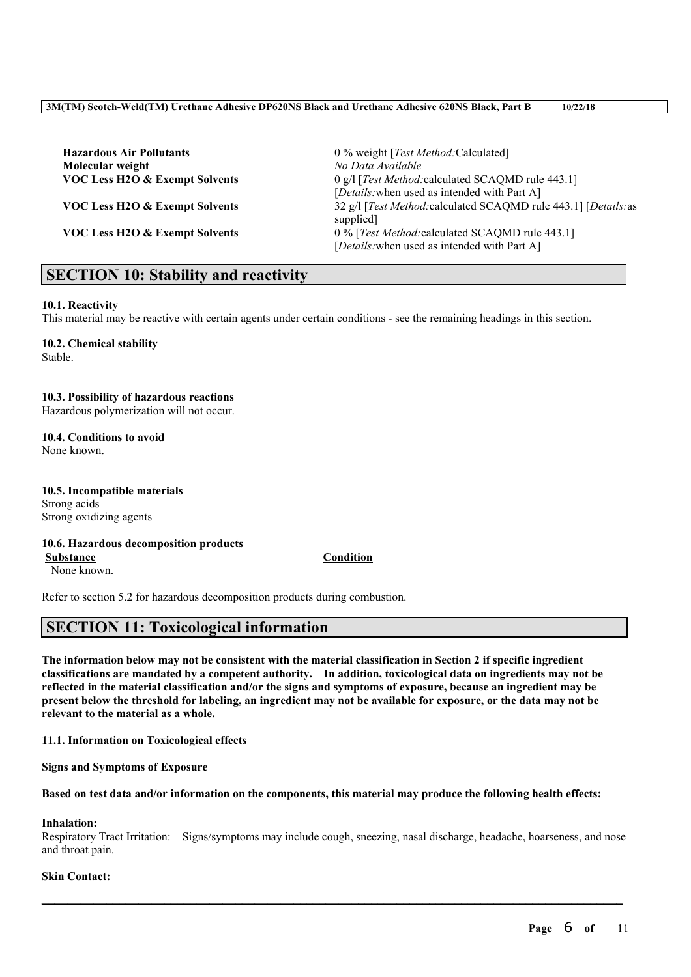**Hazardous Air Pollutants** 0 % weight [*Test Method:*Calculated] **Molecular weight** *No Data Available*

**VOC Less H2O & Exempt Solvents** 0 g/l [*Test Method:*calculated SCAQMD rule 443.1] [*Details:*when used as intended with Part A] **VOC Less H2O & Exempt Solvents** 32 g/l [*Test Method:*calculated SCAQMD rule 443.1] [*Details:*as supplied] **VOC Less H2O & Exempt Solvents** 0 % [*Test Method:*calculated SCAQMD rule 443.1] [*Details:*when used as intended with Part A]

# **SECTION 10: Stability and reactivity**

### **10.1. Reactivity**

This material may be reactive with certain agents under certain conditions - see the remaining headings in this section.

### **10.2. Chemical stability** Stable.

### **10.3. Possibility of hazardous reactions**

Hazardous polymerization will not occur.

# **10.4. Conditions to avoid**

None known.

**10.5. Incompatible materials** Strong acids Strong oxidizing agents

### **10.6. Hazardous decomposition products Substance Condition**

None known.

Refer to section 5.2 for hazardous decomposition products during combustion.

# **SECTION 11: Toxicological information**

The information below may not be consistent with the material classification in Section 2 if specific ingredient **classifications are mandated by a competent authority. In addition, toxicological data on ingredients may not be** reflected in the material classification and/or the signs and symptoms of exposure, because an ingredient may be present below the threshold for labeling, an ingredient may not be available for exposure, or the data may not be **relevant to the material as a whole.**

**11.1. Information on Toxicological effects**

**Signs and Symptoms of Exposure**

### Based on test data and/or information on the components, this material may produce the following health effects:

# **Inhalation:**

Respiratory Tract Irritation: Signs/symptoms may include cough, sneezing, nasal discharge, headache, hoarseness, and nose and throat pain.

 $\mathcal{L}_\mathcal{L} = \mathcal{L}_\mathcal{L} = \mathcal{L}_\mathcal{L} = \mathcal{L}_\mathcal{L} = \mathcal{L}_\mathcal{L} = \mathcal{L}_\mathcal{L} = \mathcal{L}_\mathcal{L} = \mathcal{L}_\mathcal{L} = \mathcal{L}_\mathcal{L} = \mathcal{L}_\mathcal{L} = \mathcal{L}_\mathcal{L} = \mathcal{L}_\mathcal{L} = \mathcal{L}_\mathcal{L} = \mathcal{L}_\mathcal{L} = \mathcal{L}_\mathcal{L} = \mathcal{L}_\mathcal{L} = \mathcal{L}_\mathcal{L}$ 

### **Skin Contact:**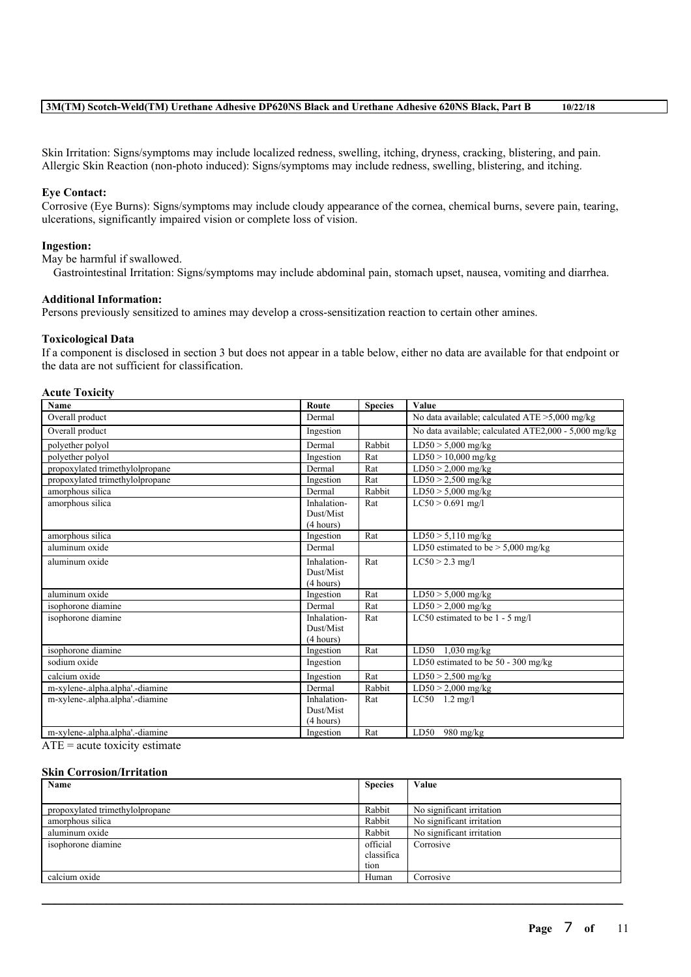Skin Irritation: Signs/symptoms may include localized redness, swelling, itching, dryness, cracking, blistering, and pain. Allergic Skin Reaction (non-photo induced): Signs/symptoms may include redness, swelling, blistering, and itching.

### **Eye Contact:**

Corrosive (Eye Burns): Signs/symptoms may include cloudy appearance of the cornea, chemical burns, severe pain, tearing, ulcerations, significantly impaired vision or complete loss of vision.

### **Ingestion:**

May be harmful if swallowed.

Gastrointestinal Irritation: Signs/symptoms may include abdominal pain, stomach upset, nausea, vomiting and diarrhea.

### **Additional Information:**

Persons previously sensitized to amines may develop a cross-sensitization reaction to certain other amines.

### **Toxicological Data**

If a component is disclosed in section 3 but does not appear in a table below, either no data are available for that endpoint or the data are not sufficient for classification.

### **Acute Toxicity**

| Name                            | Route       | <b>Species</b> | Value                                                |
|---------------------------------|-------------|----------------|------------------------------------------------------|
| Overall product                 | Dermal      |                | No data available; calculated $ATE > 5,000$ mg/kg    |
| Overall product                 | Ingestion   |                | No data available; calculated ATE2,000 - 5,000 mg/kg |
| polyether polyol                | Dermal      | Rabbit         | $LD50 > 5,000$ mg/kg                                 |
| polyether polyol                | Ingestion   | Rat            | $LD50 > 10,000$ mg/kg                                |
| propoxylated trimethylolpropane | Dermal      | Rat            | $LD50 > 2,000$ mg/kg                                 |
| propoxylated trimethylolpropane | Ingestion   | Rat            | $LD50 > 2,500$ mg/kg                                 |
| amorphous silica                | Dermal      | Rabbit         | $LD50 > 5,000$ mg/kg                                 |
| amorphous silica                | Inhalation- | Rat            | $LC50 > 0.691$ mg/l                                  |
|                                 | Dust/Mist   |                |                                                      |
|                                 | (4 hours)   |                |                                                      |
| amorphous silica                | Ingestion   | Rat            | $LD50 > 5,110$ mg/kg                                 |
| aluminum oxide                  | Dermal      |                | LD50 estimated to be $> 5,000$ mg/kg                 |
| aluminum oxide                  | Inhalation- | Rat            | $LC50 > 2.3$ mg/l                                    |
|                                 | Dust/Mist   |                |                                                      |
|                                 | (4 hours)   |                |                                                      |
| aluminum oxide                  | Ingestion   | Rat            | $LD50 > 5,000$ mg/kg                                 |
| isophorone diamine              | Dermal      | Rat            | $LD50 > 2,000$ mg/kg                                 |
| isophorone diamine              | Inhalation- | Rat            | LC50 estimated to be $1 - 5$ mg/l                    |
|                                 | Dust/Mist   |                |                                                      |
|                                 | (4 hours)   |                |                                                      |
| isophorone diamine              | Ingestion   | Rat            | $LD50 \t1.030 \t mg/kg$                              |
| sodium oxide                    | Ingestion   |                | LD50 estimated to be $50 - 300$ mg/kg                |
| calcium oxide                   | Ingestion   | Rat            | $LD50 > 2,500$ mg/kg                                 |
| m-xylene-.alpha.alpha'.-diamine | Dermal      | Rabbit         | $LD50 > 2,000$ mg/kg                                 |
| m-xylene-.alpha.alpha'.-diamine | Inhalation- | Rat            | $LC50$ 1.2 mg/l                                      |
|                                 | Dust/Mist   |                |                                                      |
|                                 | (4 hours)   |                |                                                      |
| m-xylene-.alpha.alpha'.-diamine | Ingestion   | Rat            | LD50<br>980 mg/kg                                    |

 $ATE = acute$  toxicity estimate

### **Skin Corrosion/Irritation**

| Name                            | <b>Species</b> | Value                     |
|---------------------------------|----------------|---------------------------|
|                                 |                |                           |
| propoxylated trimethylolpropane | Rabbit         | No significant irritation |
| amorphous silica                | Rabbit         | No significant irritation |
| aluminum oxide                  | Rabbit         | No significant irritation |
| isophorone diamine              | official       | Corrosive                 |
|                                 | classifica     |                           |
|                                 | tion           |                           |
| calcium oxide                   | Human          | Corrosive                 |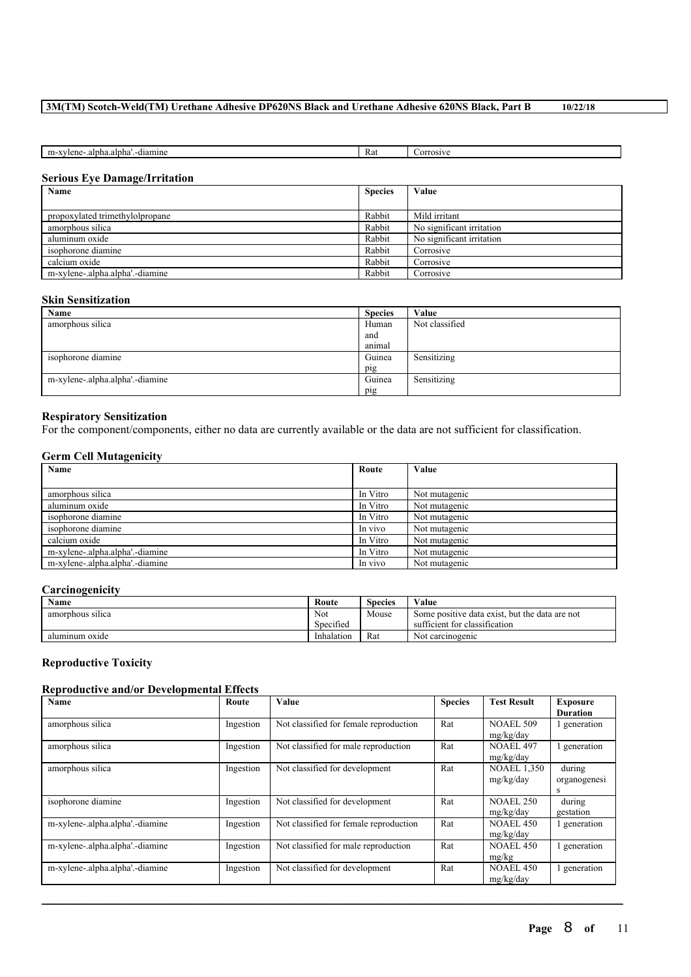### **3M(TM) Scotch-Weld(TM) Urethane Adhesive DP620NS Black and Urethane Adhesive 620NS Black, Part B 10/22/18**

| diamine<br>Ka.<br>Change of<br>m-<br>0 <sup>1</sup><br>، ۱۰۰۰ ۱۰<br>0.0117<br>'len<br>m. т.<br>ш |  |  |
|--------------------------------------------------------------------------------------------------|--|--|
|                                                                                                  |  |  |

### **Serious Eye Damage/Irritation**

| Name                            | <b>Species</b> | Value                     |
|---------------------------------|----------------|---------------------------|
|                                 |                |                           |
| propoxylated trimethylolpropane | Rabbit         | Mild irritant             |
| amorphous silica                | Rabbit         | No significant irritation |
| aluminum oxide                  | Rabbit         | No significant irritation |
| isophorone diamine              | Rabbit         | Corrosive                 |
| calcium oxide                   | Rabbit         | Corrosive                 |
| m-xylene-.alpha.alpha'.-diamine | Rabbit         | Corrosive                 |

### **Skin Sensitization**

| Name                            | <b>Species</b> | Value          |
|---------------------------------|----------------|----------------|
| amorphous silica                | Human          | Not classified |
|                                 | and            |                |
|                                 | animal         |                |
| isophorone diamine              | Guinea         | Sensitizing    |
|                                 | pig            |                |
| m-xylene-.alpha.alpha'.-diamine | Guinea         | Sensitizing    |
|                                 | pig            |                |

### **Respiratory Sensitization**

For the component/components, either no data are currently available or the data are not sufficient for classification.

### **Germ Cell Mutagenicity**

| $\sim$<br>Name                  | Route    | Value         |
|---------------------------------|----------|---------------|
|                                 |          |               |
| amorphous silica                | In Vitro | Not mutagenic |
| aluminum oxide                  | In Vitro | Not mutagenic |
| isophorone diamine              | In Vitro | Not mutagenic |
| isophorone diamine              | In vivo  | Not mutagenic |
| calcium oxide                   | In Vitro | Not mutagenic |
| m-xylene-.alpha.alpha'.-diamine | In Vitro | Not mutagenic |
| m-xylene-.alpha.alpha'.-diamine | In vivo  | Not mutagenic |

### **Carcinogenicity**

| Name             | Route                      | Species | Value                                          |
|------------------|----------------------------|---------|------------------------------------------------|
| amorphous silica | Not                        | Mouse   | Some positive data exist, but the data are not |
|                  | $\sim$ $\sim$<br>Specified |         | sufficient for classification                  |
| aluminum oxide   | Inhalation                 | Rat     | Not carcinogenic                               |

### **Reproductive Toxicity**

### **Reproductive and/or Developmental Effects**

| <b>Name</b>                     | Route     | Value                                  | <b>Species</b> | <b>Test Result</b> | <b>Exposure</b> |
|---------------------------------|-----------|----------------------------------------|----------------|--------------------|-----------------|
|                                 |           |                                        |                |                    | <b>Duration</b> |
| amorphous silica                | Ingestion | Not classified for female reproduction | Rat            | <b>NOAEL 509</b>   | generation      |
|                                 |           |                                        |                | mg/kg/day          |                 |
| amorphous silica                | Ingestion | Not classified for male reproduction   | Rat            | <b>NOAEL 497</b>   | generation      |
|                                 |           |                                        |                | mg/kg/day          |                 |
| amorphous silica                | Ingestion | Not classified for development         | Rat            | <b>NOAEL 1,350</b> | during          |
|                                 |           |                                        |                | mg/kg/day          | organogenesi    |
|                                 |           |                                        |                |                    | s               |
| isophorone diamine              | Ingestion | Not classified for development         | Rat            | <b>NOAEL 250</b>   | during          |
|                                 |           |                                        |                | mg/kg/day          | gestation       |
| m-xylene-.alpha.alpha'.-diamine | Ingestion | Not classified for female reproduction | Rat            | <b>NOAEL 450</b>   | l generation    |
|                                 |           |                                        |                | mg/kg/day          |                 |
| m-xylene-.alpha.alpha'.-diamine | Ingestion | Not classified for male reproduction   | Rat            | <b>NOAEL 450</b>   | generation      |
|                                 |           |                                        |                | mg/kg              |                 |
| m-xylene-.alpha.alpha'.-diamine | Ingestion | Not classified for development         | Rat            | <b>NOAEL 450</b>   | generation      |
|                                 |           |                                        |                | mg/kg/day          |                 |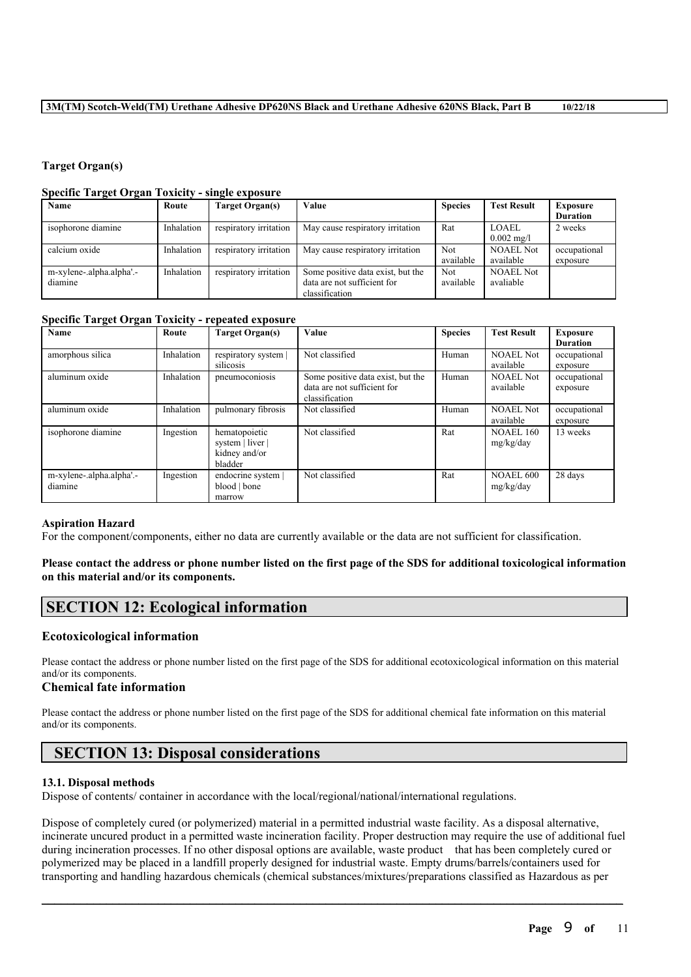### **Target Organ(s)**

### **Specific Target Organ Toxicity - single exposure**

| $\cdot$<br>Name          | Route      | Target Organ(s)        | Value                             | <b>Species</b> | <b>Test Result</b>   | <b>Exposure</b> |
|--------------------------|------------|------------------------|-----------------------------------|----------------|----------------------|-----------------|
|                          |            |                        |                                   |                |                      | <b>Duration</b> |
| isophorone diamine       | Inhalation | respiratory irritation | May cause respiratory irritation  | Rat            | LOAEL.               | 2 weeks         |
|                          |            |                        |                                   |                | $0.002 \text{ mg/l}$ |                 |
| calcium oxide            | Inhalation | respiratory irritation | May cause respiratory irritation  | <b>Not</b>     | <b>NOAEL Not</b>     | occupational    |
|                          |            |                        |                                   | available      | available            | exposure        |
| m-xylene-.alpha.alpha'.- | Inhalation | respiratory irritation | Some positive data exist, but the | <b>Not</b>     | <b>NOAEL Not</b>     |                 |
| diamine                  |            |                        | data are not sufficient for       | available      | avaliable            |                 |
|                          |            |                        | classification                    |                |                      |                 |

### **Specific Target Organ Toxicity - repeated exposure**

| Name                                | Route      | <b>Target Organ(s)</b>                                        | Value                                                                              | <b>Species</b> | <b>Test Result</b>            | <b>Exposure</b><br><b>Duration</b> |
|-------------------------------------|------------|---------------------------------------------------------------|------------------------------------------------------------------------------------|----------------|-------------------------------|------------------------------------|
| amorphous silica                    | Inhalation | respiratory system<br>silicosis                               | Not classified                                                                     | Human          | <b>NOAEL Not</b><br>available | occupational<br>exposure           |
| aluminum oxide                      | Inhalation | pneumoconiosis                                                | Some positive data exist, but the<br>data are not sufficient for<br>classification | Human          | <b>NOAEL Not</b><br>available | occupational<br>exposure           |
| aluminum oxide                      | Inhalation | pulmonary fibrosis                                            | Not classified                                                                     | Human          | <b>NOAEL Not</b><br>available | occupational<br>exposure           |
| isophorone diamine                  | Ingestion  | hematopoietic<br>system   liver  <br>kidney and/or<br>bladder | Not classified                                                                     | Rat            | <b>NOAEL 160</b><br>mg/kg/day | 13 weeks                           |
| m-xylene-.alpha.alpha'.-<br>diamine | Ingestion  | endocrine system  <br>blood   bone<br>marrow                  | Not classified                                                                     | Rat            | <b>NOAEL 600</b><br>mg/kg/day | 28 days                            |

### **Aspiration Hazard**

For the component/components, either no data are currently available or the data are not sufficient for classification.

### Please contact the address or phone number listed on the first page of the SDS for additional toxicological information **on this material and/or its components.**

# **SECTION 12: Ecological information**

### **Ecotoxicological information**

Please contact the address or phone number listed on the first page of the SDS for additional ecotoxicological information on this material and/or its components.

### **Chemical fate information**

Please contact the address or phone number listed on the first page of the SDS for additional chemical fate information on this material and/or its components.

# **SECTION 13: Disposal considerations**

### **13.1. Disposal methods**

Dispose of contents/ container in accordance with the local/regional/national/international regulations.

Dispose of completely cured (or polymerized) material in a permitted industrial waste facility. As a disposal alternative, incinerate uncured product in a permitted waste incineration facility. Proper destruction may require the use of additional fuel during incineration processes. If no other disposal options are available, waste product that has been completely cured or polymerized may be placed in a landfill properly designed for industrial waste. Empty drums/barrels/containers used for transporting and handling hazardous chemicals (chemical substances/mixtures/preparations classified as Hazardous as per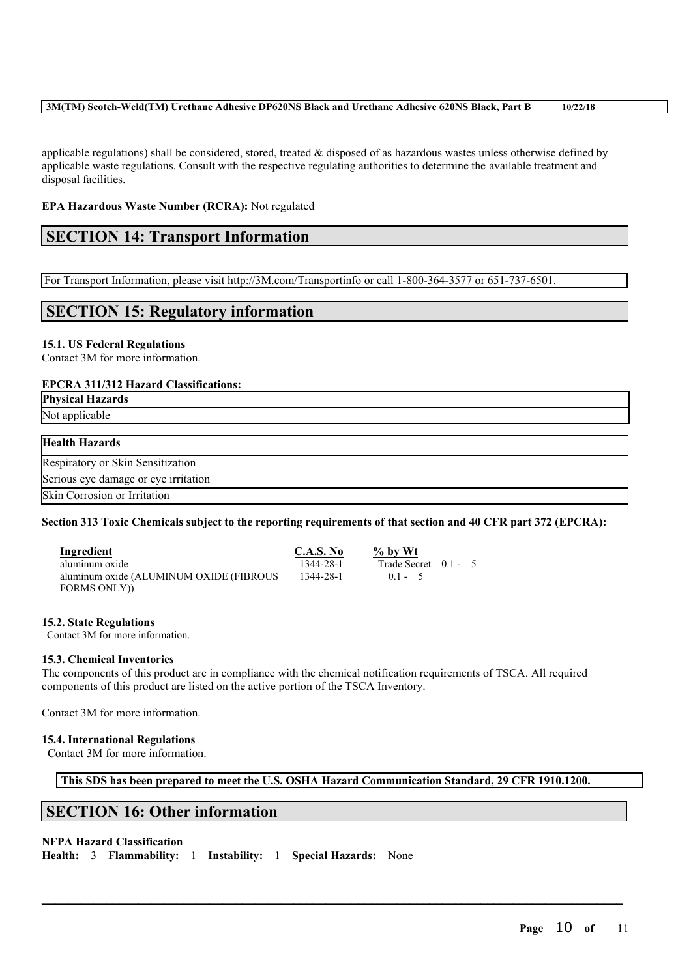### **3M(TM) Scotch-Weld(TM) Urethane Adhesive DP620NS Black and Urethane Adhesive 620NS Black, Part B 10/22/18**

applicable regulations) shall be considered, stored, treated  $\&$  disposed of as hazardous wastes unless otherwise defined by applicable waste regulations. Consult with the respective regulating authorities to determine the available treatment and disposal facilities.

### **EPA Hazardous Waste Number (RCRA):** Not regulated

# **SECTION 14: Transport Information**

For Transport Information, please visit http://3M.com/Transportinfo or call 1-800-364-3577 or 651-737-6501.

# **SECTION 15: Regulatory information**

### **15.1. US Federal Regulations**

Contact 3M for more information.

### **EPCRA 311/312 Hazard Classifications:**

**Physical Hazards**

Not applicable

### **Health Hazards**

Respiratory or Skin Sensitization

Serious eye damage or eye irritation

Skin Corrosion or Irritation

### Section 313 Toxic Chemicals subject to the reporting requirements of that section and 40 CFR part 372 (EPCRA):

**Ingredient**<br> **C.A.S. No**  $\frac{96 \text{ by Wt}}{1344-28-1}$ <br> **C.A.S. No**  $\frac{96 \text{ by Wt}}{1344-28-1}$ aluminum oxide 1344-28-1 Trade Secret 0.1 - 5 aluminum oxide (ALUMINUM OXIDE (FIBROUS FORMS ONLY))

1344-28-1 0.1 - 5

### **15.2. State Regulations**

Contact 3M for more information.

### **15.3. Chemical Inventories**

The components of this product are in compliance with the chemical notification requirements of TSCA. All required components of this product are listed on the active portion of the TSCA Inventory.

Contact 3M for more information.

### **15.4. International Regulations**

Contact 3M for more information.

**This SDS has been prepared to meet the U.S. OSHA Hazard Communication Standard, 29 CFR 1910.1200.**

 $\mathcal{L}_\mathcal{L} = \mathcal{L}_\mathcal{L} = \mathcal{L}_\mathcal{L} = \mathcal{L}_\mathcal{L} = \mathcal{L}_\mathcal{L} = \mathcal{L}_\mathcal{L} = \mathcal{L}_\mathcal{L} = \mathcal{L}_\mathcal{L} = \mathcal{L}_\mathcal{L} = \mathcal{L}_\mathcal{L} = \mathcal{L}_\mathcal{L} = \mathcal{L}_\mathcal{L} = \mathcal{L}_\mathcal{L} = \mathcal{L}_\mathcal{L} = \mathcal{L}_\mathcal{L} = \mathcal{L}_\mathcal{L} = \mathcal{L}_\mathcal{L}$ 

# **SECTION 16: Other information**

### **NFPA Hazard Classification**

**Health:** 3 **Flammability:** 1 **Instability:** 1 **Special Hazards:** None